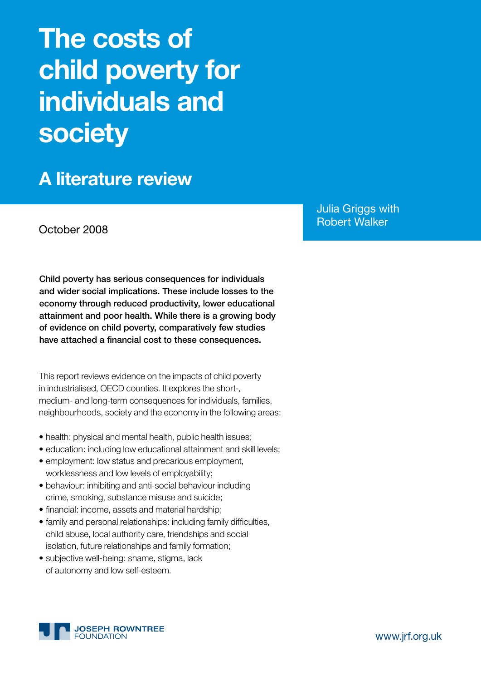# **The costs of child poverty for individuals and society**

**A literature review** 

Julia Griggs with Robert Walker October 2008

Child poverty has serious consequences for individuals and wider social implications. These include losses to the economy through reduced productivity, lower educational attainment and poor health. While there is a growing body of evidence on child poverty, comparatively few studies have attached a financial cost to these consequences.

This report reviews evidence on the impacts of child poverty in industrialised, OECD counties. It explores the short-, medium- and long-term consequences for individuals, families, neighbourhoods, society and the economy in the following areas:

- health: physical and mental health, public health issues;
- education: including low educational attainment and skill levels;
- employment: low status and precarious employment, worklessness and low levels of employability;
- behaviour: inhibiting and anti-social behaviour including crime, smoking, substance misuse and suicide;
- financial: income, assets and material hardship;
- family and personal relationships: including family difficulties, child abuse, local authority care, friendships and social isolation, future relationships and family formation;
- subjective well-being: shame, stigma, lack of autonomy and low self-esteem.

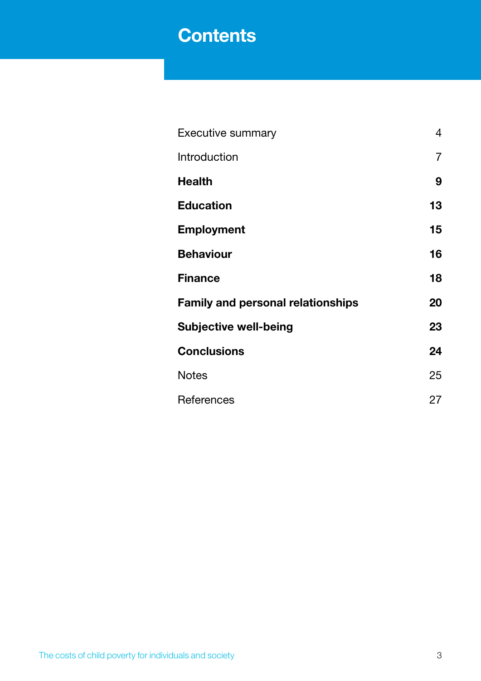# **Contents**

| <b>Executive summary</b>                 | 4              |
|------------------------------------------|----------------|
| Introduction                             | $\overline{7}$ |
| <b>Health</b>                            | 9              |
| <b>Education</b>                         | 13             |
| <b>Employment</b>                        | 15             |
| <b>Behaviour</b>                         | 16             |
| <b>Finance</b>                           | 18             |
| <b>Family and personal relationships</b> | 20             |
| <b>Subjective well-being</b>             | 23             |
| <b>Conclusions</b>                       | 24             |
| <b>Notes</b>                             | 25             |
| References                               | 27             |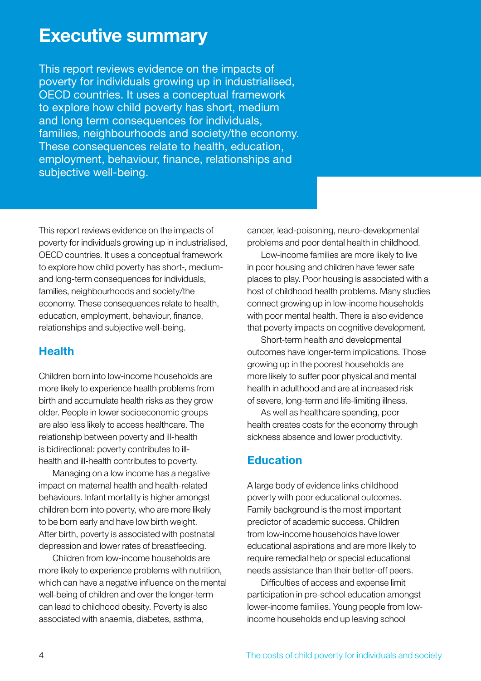# **Executive summary**

This report reviews evidence on the impacts of poverty for individuals growing up in industrialised, OECD countries. It uses a conceptual framework to explore how child poverty has short, medium and long term consequences for individuals, families, neighbourhoods and society/the economy. These consequences relate to health, education, employment, behaviour, finance, relationships and subjective well-being.

This report reviews evidence on the impacts of poverty for individuals growing up in industrialised, OECD countries. It uses a conceptual framework to explore how child poverty has short-, mediumand long-term consequences for individuals, families, neighbourhoods and society/the economy. These consequences relate to health, education, employment, behaviour, finance, relationships and subjective well-being.

# **Health**

Children born into low-income households are more likely to experience health problems from birth and accumulate health risks as they grow older. People in lower socioeconomic groups are also less likely to access healthcare. The relationship between poverty and ill-health is bidirectional: poverty contributes to illhealth and ill-health contributes to poverty.

Managing on a low income has a negative impact on maternal health and health-related behaviours. Infant mortality is higher amongst children born into poverty, who are more likely to be born early and have low birth weight. After birth, poverty is associated with postnatal depression and lower rates of breastfeeding.

Children from low-income households are more likely to experience problems with nutrition, which can have a negative influence on the mental well-being of children and over the longer-term can lead to childhood obesity. Poverty is also associated with anaemia, diabetes, asthma,

cancer, lead-poisoning, neuro-developmental problems and poor dental health in childhood.

Low-income families are more likely to live in poor housing and children have fewer safe places to play. Poor housing is associated with a host of childhood health problems. Many studies connect growing up in low-income households with poor mental health. There is also evidence that poverty impacts on cognitive development.

Short-term health and developmental outcomes have longer-term implications. Those growing up in the poorest households are more likely to suffer poor physical and mental health in adulthood and are at increased risk of severe, long-term and life-limiting illness.

As well as healthcare spending, poor health creates costs for the economy through sickness absence and lower productivity.

# **Education**

A large body of evidence links childhood poverty with poor educational outcomes. Family background is the most important predictor of academic success. Children from low-income households have lower educational aspirations and are more likely to require remedial help or special educational needs assistance than their better-off peers.

Difficulties of access and expense limit participation in pre-school education amongst lower-income families. Young people from lowincome households end up leaving school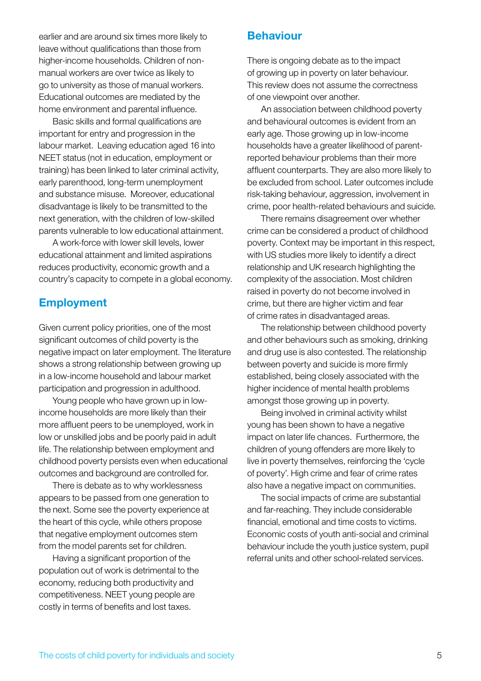earlier and are around six times more likely to leave without qualifications than those from higher-income households. Children of nonmanual workers are over twice as likely to go to university as those of manual workers. Educational outcomes are mediated by the home environment and parental influence.

Basic skills and formal qualifications are important for entry and progression in the labour market. Leaving education aged 16 into NEET status (not in education, employment or training) has been linked to later criminal activity, early parenthood, long-term unemployment and substance misuse. Moreover, educational disadvantage is likely to be transmitted to the next generation, with the children of low-skilled parents vulnerable to low educational attainment.

A work-force with lower skill levels, lower educational attainment and limited aspirations reduces productivity, economic growth and a country's capacity to compete in a global economy.

### **Employment**

Given current policy priorities, one of the most significant outcomes of child poverty is the negative impact on later employment. The literature shows a strong relationship between growing up in a low-income household and labour market participation and progression in adulthood.

Young people who have grown up in lowincome households are more likely than their more affluent peers to be unemployed, work in low or unskilled jobs and be poorly paid in adult life. The relationship between employment and childhood poverty persists even when educational outcomes and background are controlled for.

There is debate as to why worklessness appears to be passed from one generation to the next. Some see the poverty experience at the heart of this cycle, while others propose that negative employment outcomes stem from the model parents set for children.

Having a significant proportion of the population out of work is detrimental to the economy, reducing both productivity and competitiveness. NEET young people are costly in terms of benefits and lost taxes.

### **Behaviour**

There is ongoing debate as to the impact of growing up in poverty on later behaviour. This review does not assume the correctness of one viewpoint over another.

An association between childhood poverty and behavioural outcomes is evident from an early age. Those growing up in low-income households have a greater likelihood of parentreported behaviour problems than their more affluent counterparts. They are also more likely to be excluded from school. Later outcomes include risk-taking behaviour, aggression, involvement in crime, poor health-related behaviours and suicide.

There remains disagreement over whether crime can be considered a product of childhood poverty. Context may be important in this respect, with US studies more likely to identify a direct relationship and UK research highlighting the complexity of the association. Most children raised in poverty do not become involved in crime, but there are higher victim and fear of crime rates in disadvantaged areas.

The relationship between childhood poverty and other behaviours such as smoking, drinking and drug use is also contested. The relationship between poverty and suicide is more firmly established, being closely associated with the higher incidence of mental health problems amongst those growing up in poverty.

Being involved in criminal activity whilst young has been shown to have a negative impact on later life chances. Furthermore, the children of young offenders are more likely to live in poverty themselves, reinforcing the 'cycle of poverty'. High crime and fear of crime rates also have a negative impact on communities.

The social impacts of crime are substantial and far-reaching. They include considerable financial, emotional and time costs to victims. Economic costs of youth anti-social and criminal behaviour include the youth justice system, pupil referral units and other school-related services.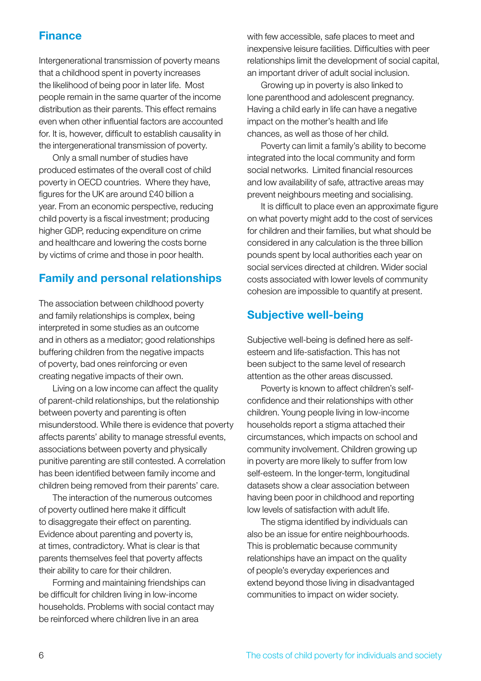# **Finance**

Intergenerational transmission of poverty means that a childhood spent in poverty increases the likelihood of being poor in later life. Most people remain in the same quarter of the income distribution as their parents. This effect remains even when other influential factors are accounted for. It is, however, difficult to establish causality in the intergenerational transmission of poverty.

Only a small number of studies have produced estimates of the overall cost of child poverty in OECD countries. Where they have, figures for the UK are around £40 billion a year. From an economic perspective, reducing child poverty is a fiscal investment; producing higher GDP, reducing expenditure on crime and healthcare and lowering the costs borne by victims of crime and those in poor health.

# **Family and personal relationships**

The association between childhood poverty and family relationships is complex, being interpreted in some studies as an outcome and in others as a mediator; good relationships buffering children from the negative impacts of poverty, bad ones reinforcing or even creating negative impacts of their own.

Living on a low income can affect the quality of parent-child relationships, but the relationship between poverty and parenting is often misunderstood. While there is evidence that poverty affects parents' ability to manage stressful events, associations between poverty and physically punitive parenting are still contested. A correlation has been identified between family income and children being removed from their parents' care.

The interaction of the numerous outcomes of poverty outlined here make it difficult to disaggregate their effect on parenting. Evidence about parenting and poverty is, at times, contradictory. What is clear is that parents themselves feel that poverty affects their ability to care for their children.

Forming and maintaining friendships can be difficult for children living in low-income households. Problems with social contact may be reinforced where children live in an area

with few accessible, safe places to meet and inexpensive leisure facilities. Difficulties with peer relationships limit the development of social capital, an important driver of adult social inclusion.

Growing up in poverty is also linked to lone parenthood and adolescent pregnancy. Having a child early in life can have a negative impact on the mother's health and life chances, as well as those of her child.

Poverty can limit a family's ability to become integrated into the local community and form social networks. Limited financial resources and low availability of safe, attractive areas may prevent neighbours meeting and socialising.

It is difficult to place even an approximate figure on what poverty might add to the cost of services for children and their families, but what should be considered in any calculation is the three billion pounds spent by local authorities each year on social services directed at children. Wider social costs associated with lower levels of community cohesion are impossible to quantify at present.

## **Subjective well-being**

Subjective well-being is defined here as selfesteem and life-satisfaction. This has not been subject to the same level of research attention as the other areas discussed.

Poverty is known to affect children's selfconfidence and their relationships with other children. Young people living in low-income households report a stigma attached their circumstances, which impacts on school and community involvement. Children growing up in poverty are more likely to suffer from low self-esteem. In the longer-term, longitudinal datasets show a clear association between having been poor in childhood and reporting low levels of satisfaction with adult life.

The stigma identified by individuals can also be an issue for entire neighbourhoods. This is problematic because community relationships have an impact on the quality of people's everyday experiences and extend beyond those living in disadvantaged communities to impact on wider society.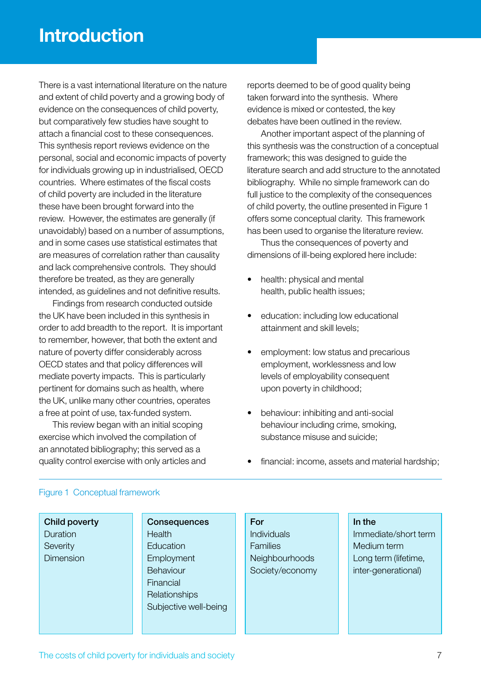There is a vast international literature on the nature and extent of child poverty and a growing body of evidence on the consequences of child poverty, but comparatively few studies have sought to attach a financial cost to these consequences. This synthesis report reviews evidence on the personal, social and economic impacts of poverty for individuals growing up in industrialised, OECD countries. Where estimates of the fiscal costs of child poverty are included in the literature these have been brought forward into the review. However, the estimates are generally (if unavoidably) based on a number of assumptions, and in some cases use statistical estimates that are measures of correlation rather than causality and lack comprehensive controls. They should therefore be treated, as they are generally intended, as guidelines and not definitive results.

Findings from research conducted outside the UK have been included in this synthesis in order to add breadth to the report. It is important to remember, however, that both the extent and nature of poverty differ considerably across OECD states and that policy differences will mediate poverty impacts. This is particularly pertinent for domains such as health, where the UK, unlike many other countries, operates a free at point of use, tax-funded system.

This review began with an initial scoping exercise which involved the compilation of an annotated bibliography; this served as a quality control exercise with only articles and reports deemed to be of good quality being taken forward into the synthesis. Where evidence is mixed or contested, the key debates have been outlined in the review.

Another important aspect of the planning of this synthesis was the construction of a conceptual framework; this was designed to guide the literature search and add structure to the annotated bibliography. While no simple framework can do full justice to the complexity of the consequences of child poverty, the outline presented in Figure 1 offers some conceptual clarity. This framework has been used to organise the literature review.

Thus the consequences of poverty and dimensions of ill-being explored here include:

- health: physical and mental health, public health issues;
- education: including low educational attainment and skill levels;
- employment: low status and precarious employment, worklessness and low levels of employability consequent upon poverty in childhood;
- behaviour: inhibiting and anti-social behaviour including crime, smoking, substance misuse and suicide;
- financial: income, assets and material hardship;

#### Figure 1 Conceptual framework

Child poverty Duration **Severity** Dimension

### **Consequences Health Education Employment** Behaviour Financial **Relationships** Subjective well-being

### For

Individuals **Families** Neighbourhoods Society/economy

#### In the

Immediate/short term Medium term Long term (lifetime, inter-generational)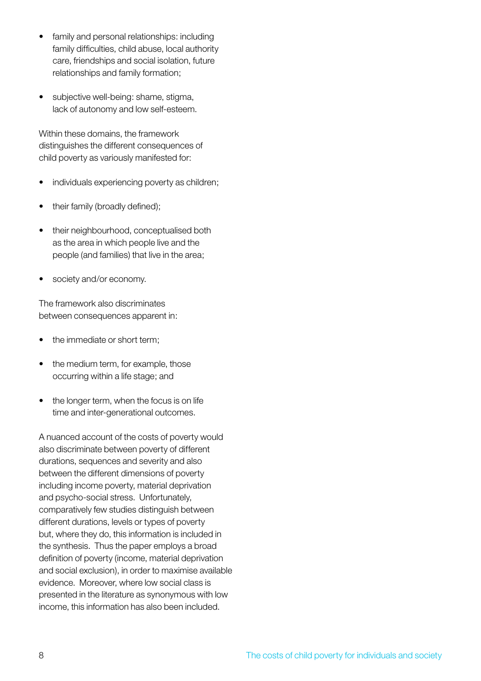- family and personal relationships: including family difficulties, child abuse, local authority care, friendships and social isolation, future relationships and family formation;
- subjective well-being: shame, stigma, lack of autonomy and low self-esteem.

Within these domains, the framework distinguishes the different consequences of child poverty as variously manifested for:

- individuals experiencing poverty as children;
- their family (broadly defined);
- their neighbourhood, conceptualised both as the area in which people live and the people (and families) that live in the area;
- society and/or economy.

The framework also discriminates between consequences apparent in:

- the immediate or short term;
- the medium term, for example, those occurring within a life stage; and
- the longer term, when the focus is on life time and inter-generational outcomes.

A nuanced account of the costs of poverty would also discriminate between poverty of different durations, sequences and severity and also between the different dimensions of poverty including income poverty, material deprivation and psycho-social stress. Unfortunately, comparatively few studies distinguish between different durations, levels or types of poverty but, where they do, this information is included in the synthesis. Thus the paper employs a broad definition of poverty (income, material deprivation and social exclusion), in order to maximise available evidence. Moreover, where low social class is presented in the literature as synonymous with low income, this information has also been included.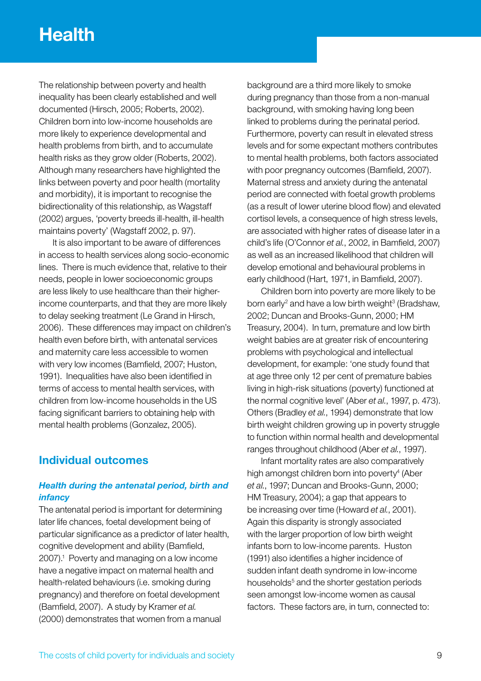# **Health**

The relationship between poverty and health inequality has been clearly established and well documented (Hirsch, 2005; Roberts, 2002). Children born into low-income households are more likely to experience developmental and health problems from birth, and to accumulate health risks as they grow older (Roberts, 2002). Although many researchers have highlighted the links between poverty and poor health (mortality and morbidity), it is important to recognise the bidirectionality of this relationship, as Wagstaff (2002) argues, 'poverty breeds ill-health, ill-health maintains poverty' (Wagstaff 2002, p. 97).

It is also important to be aware of differences in access to health services along socio-economic lines. There is much evidence that, relative to their needs, people in lower socioeconomic groups are less likely to use healthcare than their higherincome counterparts, and that they are more likely to delay seeking treatment (Le Grand in Hirsch, 2006). These differences may impact on children's health even before birth, with antenatal services and maternity care less accessible to women with very low incomes (Bamfield, 2007; Huston, 1991). Inequalities have also been identified in terms of access to mental health services, with children from low-income households in the US facing significant barriers to obtaining help with mental health problems (Gonzalez, 2005).

### **Individual outcomes**

### *Health during the antenatal period, birth and infancy*

The antenatal period is important for determining later life chances, foetal development being of particular significance as a predictor of later health, cognitive development and ability (Bamfield, 2007).1 Poverty and managing on a low income have a negative impact on maternal health and health-related behaviours (i.e. smoking during pregnancy) and therefore on foetal development (Bamfield, 2007). A study by Kramer *et al.* (2000) demonstrates that women from a manual

background are a third more likely to smoke during pregnancy than those from a non-manual background, with smoking having long been linked to problems during the perinatal period. Furthermore, poverty can result in elevated stress levels and for some expectant mothers contributes to mental health problems, both factors associated with poor pregnancy outcomes (Bamfield, 2007). Maternal stress and anxiety during the antenatal period are connected with foetal growth problems (as a result of lower uterine blood flow) and elevated cortisol levels, a consequence of high stress levels, are associated with higher rates of disease later in a child's life (O'Connor *et al.*, 2002, in Bamfield, 2007) as well as an increased likelihood that children will develop emotional and behavioural problems in early childhood (Hart, 1971, in Bamfield, 2007).

Children born into poverty are more likely to be born early<sup>2</sup> and have a low birth weight<sup>3</sup> (Bradshaw, 2002; Duncan and Brooks-Gunn, 2000; HM Treasury, 2004). In turn, premature and low birth weight babies are at greater risk of encountering problems with psychological and intellectual development, for example: 'one study found that at age three only 12 per cent of premature babies living in high-risk situations (poverty) functioned at the normal cognitive level' (Aber *et al.*, 1997, p. 473). Others (Bradley *et al.*, 1994) demonstrate that low birth weight children growing up in poverty struggle to function within normal health and developmental ranges throughout childhood (Aber *et al.*, 1997).

Infant mortality rates are also comparatively high amongst children born into poverty<sup>4</sup> (Aber *et al.*, 1997; Duncan and Brooks-Gunn, 2000; HM Treasury, 2004); a gap that appears to be increasing over time (Howard *et al.*, 2001). Again this disparity is strongly associated with the larger proportion of low birth weight infants born to low-income parents. Huston (1991) also identifies a higher incidence of sudden infant death syndrome in low-income households<sup>5</sup> and the shorter gestation periods seen amongst low-income women as causal factors. These factors are, in turn, connected to: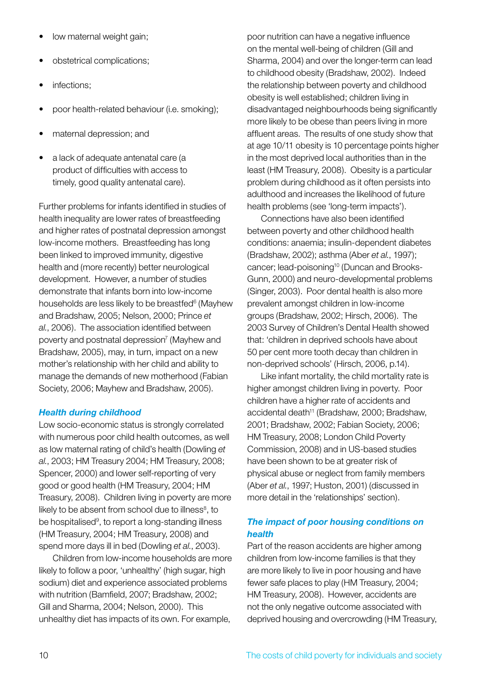- low maternal weight gain;
- obstetrical complications;
- infections:
- poor health-related behaviour (i.e. smoking);
- maternal depression; and
- a lack of adequate antenatal care (a product of difficulties with access to timely, good quality antenatal care).

Further problems for infants identified in studies of health inequality are lower rates of breastfeeding and higher rates of postnatal depression amongst low-income mothers. Breastfeeding has long been linked to improved immunity, digestive health and (more recently) better neurological development. However, a number of studies demonstrate that infants born into low-income households are less likely to be breastfed<sup>6</sup> (Mayhew and Bradshaw, 2005; Nelson, 2000; Prince *et al.*, 2006). The association identified between poverty and postnatal depression<sup>7</sup> (Mayhew and Bradshaw, 2005), may, in turn, impact on a new mother's relationship with her child and ability to manage the demands of new motherhood (Fabian Society, 2006; Mayhew and Bradshaw, 2005).

### *Health during childhood*

Low socio-economic status is strongly correlated with numerous poor child health outcomes, as well as low maternal rating of child's health (Dowling *et al.*, 2003; HM Treasury 2004; HM Treasury, 2008; Spencer, 2000) and lower self-reporting of very good or good health (HM Treasury, 2004; HM Treasury, 2008). Children living in poverty are more likely to be absent from school due to illness $<sup>8</sup>$ , to</sup> be hospitalised<sup>9</sup>, to report a long-standing illness (HM Treasury, 2004; HM Treasury, 2008) and spend more days ill in bed (Dowling *et al.*, 2003).

Children from low-income households are more likely to follow a poor, 'unhealthy' (high sugar, high sodium) diet and experience associated problems with nutrition (Bamfield, 2007; Bradshaw, 2002; Gill and Sharma, 2004; Nelson, 2000). This unhealthy diet has impacts of its own. For example,

poor nutrition can have a negative influence on the mental well-being of children (Gill and Sharma, 2004) and over the longer-term can lead to childhood obesity (Bradshaw, 2002). Indeed the relationship between poverty and childhood obesity is well established; children living in disadvantaged neighbourhoods being significantly more likely to be obese than peers living in more affluent areas. The results of one study show that at age 10/11 obesity is 10 percentage points higher in the most deprived local authorities than in the least (HM Treasury, 2008). Obesity is a particular problem during childhood as it often persists into adulthood and increases the likelihood of future health problems (see 'long-term impacts').

Connections have also been identified between poverty and other childhood health conditions: anaemia; insulin-dependent diabetes (Bradshaw, 2002); asthma (Aber *et al.*, 1997); cancer; lead-poisoning<sup>10</sup> (Duncan and Brooks-Gunn, 2000) and neuro-developmental problems (Singer, 2003). Poor dental health is also more prevalent amongst children in low-income groups (Bradshaw, 2002; Hirsch, 2006). The 2003 Survey of Children's Dental Health showed that: 'children in deprived schools have about 50 per cent more tooth decay than children in non-deprived schools' (Hirsch, 2006, p.14).

Like infant mortality, the child mortality rate is higher amongst children living in poverty. Poor children have a higher rate of accidents and accidental death<sup>11</sup> (Bradshaw, 2000; Bradshaw, 2001; Bradshaw, 2002; Fabian Society, 2006; HM Treasury, 2008; London Child Poverty Commission, 2008) and in US-based studies have been shown to be at greater risk of physical abuse or neglect from family members (Aber *et al.*, 1997; Huston, 2001) (discussed in more detail in the 'relationships' section).

### *The impact of poor housing conditions on health*

Part of the reason accidents are higher among children from low-income families is that they are more likely to live in poor housing and have fewer safe places to play (HM Treasury, 2004; HM Treasury, 2008). However, accidents are not the only negative outcome associated with deprived housing and overcrowding (HM Treasury,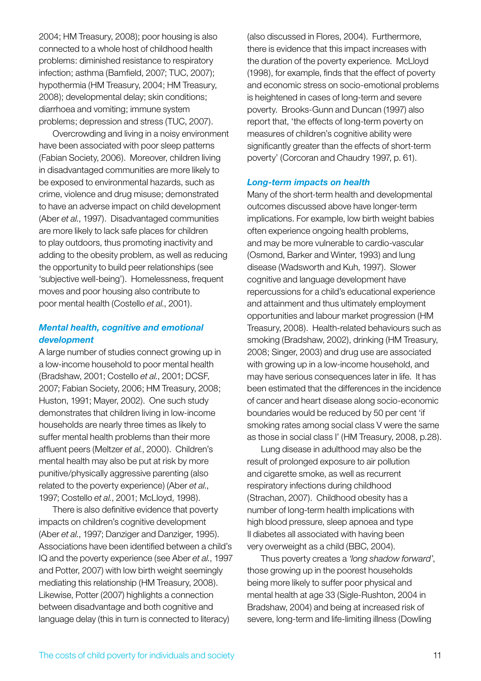2004; HM Treasury, 2008); poor housing is also connected to a whole host of childhood health problems: diminished resistance to respiratory infection; asthma (Bamfield, 2007; TUC, 2007); hypothermia (HM Treasury, 2004; HM Treasury, 2008); developmental delay; skin conditions; diarrhoea and vomiting; immune system problems; depression and stress (TUC, 2007).

Overcrowding and living in a noisy environment have been associated with poor sleep patterns (Fabian Society, 2006). Moreover, children living in disadvantaged communities are more likely to be exposed to environmental hazards, such as crime, violence and drug misuse; demonstrated to have an adverse impact on child development (Aber *et al.*, 1997). Disadvantaged communities are more likely to lack safe places for children to play outdoors, thus promoting inactivity and adding to the obesity problem, as well as reducing the opportunity to build peer relationships (see 'subjective well-being'). Homelessness, frequent moves and poor housing also contribute to poor mental health (Costello *et al.*, 2001).

#### *Mental health, cognitive and emotional development*

A large number of studies connect growing up in a low-income household to poor mental health (Bradshaw, 2001; Costello *et al.*, 2001; DCSF, 2007; Fabian Society, 2006; HM Treasury, 2008; Huston, 1991; Mayer, 2002). One such study demonstrates that children living in low-income households are nearly three times as likely to suffer mental health problems than their more affluent peers (Meltzer *et al.*, 2000). Children's mental health may also be put at risk by more punitive/physically aggressive parenting (also related to the poverty experience) (Aber *et al.*, 1997; Costello *et al.*, 2001; McLloyd, 1998).

There is also definitive evidence that poverty impacts on children's cognitive development (Aber *et al.*, 1997; Danziger and Danziger, 1995). Associations have been identified between a child's IQ and the poverty experience (see Aber *et al.*, 1997 and Potter, 2007) with low birth weight seemingly mediating this relationship (HM Treasury, 2008). Likewise, Potter (2007) highlights a connection between disadvantage and both cognitive and language delay (this in turn is connected to literacy)

(also discussed in Flores, 2004). Furthermore, there is evidence that this impact increases with the duration of the poverty experience. McLloyd (1998), for example, finds that the effect of poverty and economic stress on socio-emotional problems is heightened in cases of long-term and severe poverty. Brooks-Gunn and Duncan (1997) also report that, 'the effects of long-term poverty on measures of children's cognitive ability were significantly greater than the effects of short-term poverty' (Corcoran and Chaudry 1997, p. 61).

#### *Long-term impacts on health*

Many of the short-term health and developmental outcomes discussed above have longer-term implications. For example, low birth weight babies often experience ongoing health problems, and may be more vulnerable to cardio-vascular (Osmond, Barker and Winter, 1993) and lung disease (Wadsworth and Kuh, 1997). Slower cognitive and language development have repercussions for a child's educational experience and attainment and thus ultimately employment opportunities and labour market progression (HM Treasury, 2008). Health-related behaviours such as smoking (Bradshaw, 2002), drinking (HM Treasury, 2008; Singer, 2003) and drug use are associated with growing up in a low-income household, and may have serious consequences later in life. It has been estimated that the differences in the incidence of cancer and heart disease along socio-economic boundaries would be reduced by 50 per cent 'if smoking rates among social class V were the same as those in social class I' (HM Treasury, 2008, p.28).

Lung disease in adulthood may also be the result of prolonged exposure to air pollution and cigarette smoke, as well as recurrent respiratory infections during childhood (Strachan, 2007). Childhood obesity has a number of long-term health implications with high blood pressure, sleep apnoea and type II diabetes all associated with having been very overweight as a child (BBC, 2004).

Thus poverty creates a *'long shadow forward'*, those growing up in the poorest households being more likely to suffer poor physical and mental health at age 33 (Sigle-Rushton, 2004 in Bradshaw, 2004) and being at increased risk of severe, long-term and life-limiting illness (Dowling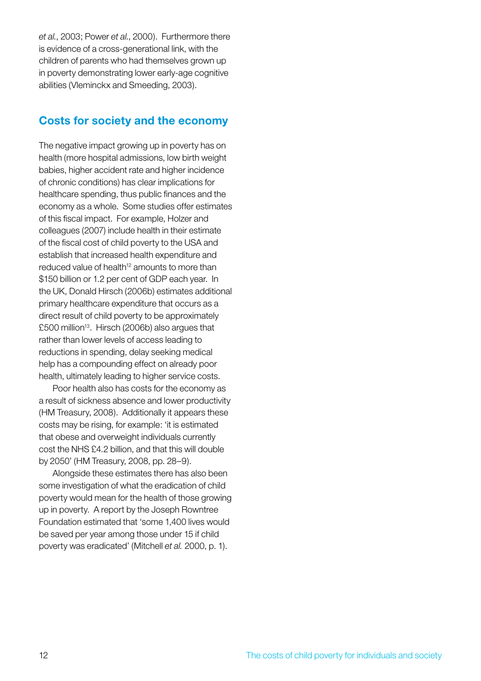*et al.*, 2003; Power *et al.*, 2000). Furthermore there is evidence of a cross-generational link, with the children of parents who had themselves grown up in poverty demonstrating lower early-age cognitive abilities (Vleminckx and Smeeding, 2003).

### **Costs for society and the economy**

The negative impact growing up in poverty has on health (more hospital admissions, low birth weight babies, higher accident rate and higher incidence of chronic conditions) has clear implications for healthcare spending, thus public finances and the economy as a whole. Some studies offer estimates of this fiscal impact. For example, Holzer and colleagues (2007) include health in their estimate of the fiscal cost of child poverty to the USA and establish that increased health expenditure and reduced value of health<sup>12</sup> amounts to more than \$150 billion or 1.2 per cent of GDP each year. In the UK, Donald Hirsch (2006b) estimates additional primary healthcare expenditure that occurs as a direct result of child poverty to be approximately £500 million<sup>13</sup>. Hirsch (2006b) also argues that rather than lower levels of access leading to reductions in spending, delay seeking medical help has a compounding effect on already poor health, ultimately leading to higher service costs.

Poor health also has costs for the economy as a result of sickness absence and lower productivity (HM Treasury, 2008). Additionally it appears these costs may be rising, for example: 'it is estimated that obese and overweight individuals currently cost the NHS £4.2 billion, and that this will double by 2050' (HM Treasury, 2008, pp. 28–9).

Alongside these estimates there has also been some investigation of what the eradication of child poverty would mean for the health of those growing up in poverty. A report by the Joseph Rowntree Foundation estimated that 'some 1,400 lives would be saved per year among those under 15 if child poverty was eradicated' (Mitchell *et al.* 2000, p. 1).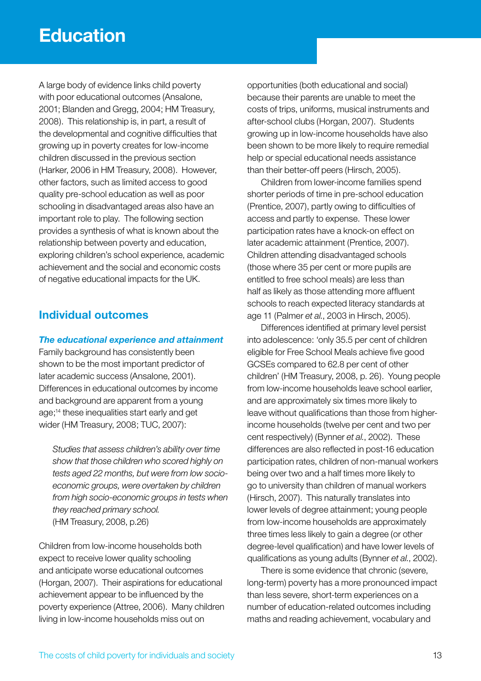A large body of evidence links child poverty with poor educational outcomes (Ansalone, 2001; Blanden and Gregg, 2004; HM Treasury, 2008). This relationship is, in part, a result of the developmental and cognitive difficulties that growing up in poverty creates for low-income children discussed in the previous section (Harker, 2006 in HM Treasury, 2008). However, other factors, such as limited access to good quality pre-school education as well as poor schooling in disadvantaged areas also have an important role to play. The following section provides a synthesis of what is known about the relationship between poverty and education, exploring children's school experience, academic achievement and the social and economic costs of negative educational impacts for the UK.

# **Individual outcomes**

#### *The educational experience and attainment*

Family background has consistently been shown to be the most important predictor of later academic success (Ansalone, 2001). Differences in educational outcomes by income and background are apparent from a young age;14 these inequalities start early and get wider (HM Treasury, 2008; TUC, 2007):

*Studies that assess children's ability over time show that those children who scored highly on tests aged 22 months, but were from low socioeconomic groups, were overtaken by children from high socio-economic groups in tests when they reached primary school.* (HM Treasury, 2008, p.26)

Children from low-income households both expect to receive lower quality schooling and anticipate worse educational outcomes (Horgan, 2007). Their aspirations for educational achievement appear to be influenced by the poverty experience (Attree, 2006). Many children living in low-income households miss out on

opportunities (both educational and social) because their parents are unable to meet the costs of trips, uniforms, musical instruments and after-school clubs (Horgan, 2007). Students growing up in low-income households have also been shown to be more likely to require remedial help or special educational needs assistance than their better-off peers (Hirsch, 2005).

Children from lower-income families spend shorter periods of time in pre-school education (Prentice, 2007), partly owing to difficulties of access and partly to expense. These lower participation rates have a knock-on effect on later academic attainment (Prentice, 2007). Children attending disadvantaged schools (those where 35 per cent or more pupils are entitled to free school meals) are less than half as likely as those attending more affluent schools to reach expected literacy standards at age 11 (Palmer *et al.*, 2003 in Hirsch, 2005).

Differences identified at primary level persist into adolescence: 'only 35.5 per cent of children eligible for Free School Meals achieve five good GCSEs compared to 62.8 per cent of other children' (HM Treasury, 2008, p. 26). Young people from low-income households leave school earlier, and are approximately six times more likely to leave without qualifications than those from higherincome households (twelve per cent and two per cent respectively) (Bynner *et al.*, 2002). These differences are also reflected in post-16 education participation rates, children of non-manual workers being over two and a half times more likely to go to university than children of manual workers (Hirsch, 2007). This naturally translates into lower levels of degree attainment; young people from low-income households are approximately three times less likely to gain a degree (or other degree-level qualification) and have lower levels of qualifications as young adults (Bynner *et al.*, 2002).

There is some evidence that chronic (severe, long-term) poverty has a more pronounced impact than less severe, short-term experiences on a number of education-related outcomes including maths and reading achievement, vocabulary and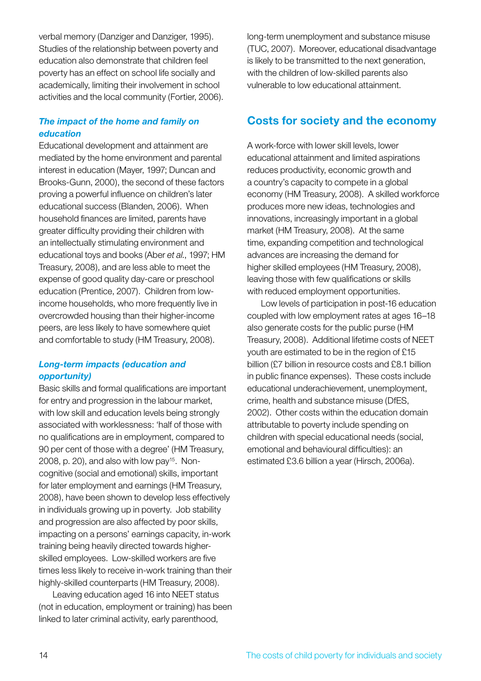verbal memory (Danziger and Danziger, 1995). Studies of the relationship between poverty and education also demonstrate that children feel poverty has an effect on school life socially and academically, limiting their involvement in school activities and the local community (Fortier, 2006).

### *The impact of the home and family on education*

Educational development and attainment are mediated by the home environment and parental interest in education (Mayer, 1997; Duncan and Brooks-Gunn, 2000), the second of these factors proving a powerful influence on children's later educational success (Blanden, 2006). When household finances are limited, parents have greater difficulty providing their children with an intellectually stimulating environment and educational toys and books (Aber *et al.*, 1997; HM Treasury, 2008), and are less able to meet the expense of good quality day-care or preschool education (Prentice, 2007). Children from lowincome households, who more frequently live in overcrowded housing than their higher-income peers, are less likely to have somewhere quiet and comfortable to study (HM Treasury, 2008).

### *Long-term impacts (education and opportunity)*

Basic skills and formal qualifications are important for entry and progression in the labour market, with low skill and education levels being strongly associated with worklessness: 'half of those with no qualifications are in employment, compared to 90 per cent of those with a degree' (HM Treasury, 2008, p. 20), and also with low pay<sup>15</sup>. Noncognitive (social and emotional) skills, important for later employment and earnings (HM Treasury, 2008), have been shown to develop less effectively in individuals growing up in poverty. Job stability and progression are also affected by poor skills, impacting on a persons' earnings capacity, in-work training being heavily directed towards higherskilled employees. Low-skilled workers are five times less likely to receive in-work training than their highly-skilled counterparts (HM Treasury, 2008).

Leaving education aged 16 into NEET status (not in education, employment or training) has been linked to later criminal activity, early parenthood,

long-term unemployment and substance misuse (TUC, 2007). Moreover, educational disadvantage is likely to be transmitted to the next generation, with the children of low-skilled parents also vulnerable to low educational attainment.

# **Costs for society and the economy**

A work-force with lower skill levels, lower educational attainment and limited aspirations reduces productivity, economic growth and a country's capacity to compete in a global economy (HM Treasury, 2008). A skilled workforce produces more new ideas, technologies and innovations, increasingly important in a global market (HM Treasury, 2008). At the same time, expanding competition and technological advances are increasing the demand for higher skilled employees (HM Treasury, 2008), leaving those with few qualifications or skills with reduced employment opportunities.

Low levels of participation in post-16 education coupled with low employment rates at ages 16–18 also generate costs for the public purse (HM Treasury, 2008). Additional lifetime costs of NEET youth are estimated to be in the region of £15 billion (£7 billion in resource costs and £8.1 billion in public finance expenses). These costs include educational underachievement, unemployment, crime, health and substance misuse (DfES, 2002). Other costs within the education domain attributable to poverty include spending on children with special educational needs (social, emotional and behavioural difficulties): an estimated £3.6 billion a year (Hirsch, 2006a).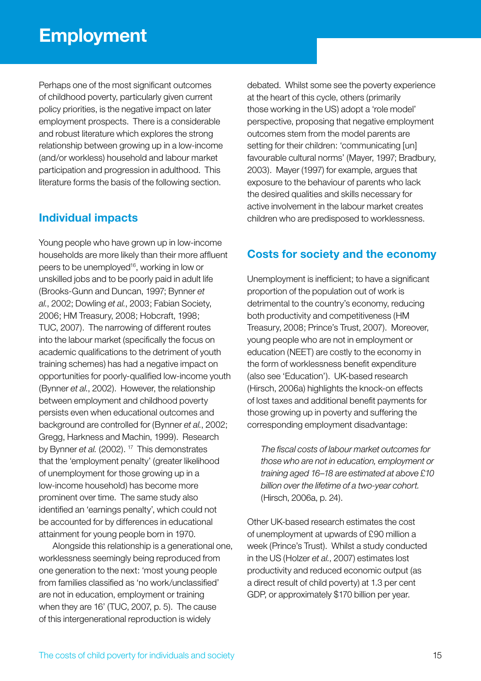# **Employment**

Perhaps one of the most significant outcomes of childhood poverty, particularly given current policy priorities, is the negative impact on later employment prospects. There is a considerable and robust literature which explores the strong relationship between growing up in a low-income (and/or workless) household and labour market participation and progression in adulthood. This literature forms the basis of the following section.

# **Individual impacts**

Young people who have grown up in low-income households are more likely than their more affluent peers to be unemployed<sup>16</sup>, working in low or unskilled jobs and to be poorly paid in adult life (Brooks-Gunn and Duncan, 1997; Bynner *et al.*, 2002; Dowling *et al.*, 2003; Fabian Society, 2006; HM Treasury, 2008; Hobcraft, 1998; TUC, 2007). The narrowing of different routes into the labour market (specifically the focus on academic qualifications to the detriment of youth training schemes) has had a negative impact on opportunities for poorly-qualified low-income youth (Bynner *et al.*, 2002). However, the relationship between employment and childhood poverty persists even when educational outcomes and background are controlled for (Bynner *et al.*, 2002; Gregg, Harkness and Machin, 1999). Research by Bynner *et al.* (2002). <sup>17</sup> This demonstrates that the 'employment penalty' (greater likelihood of unemployment for those growing up in a low-income household) has become more prominent over time. The same study also identified an 'earnings penalty', which could not be accounted for by differences in educational attainment for young people born in 1970.

Alongside this relationship is a generational one, worklessness seemingly being reproduced from one generation to the next: 'most young people from families classified as 'no work/unclassified' are not in education, employment or training when they are 16' (TUC, 2007, p. 5). The cause of this intergenerational reproduction is widely

debated. Whilst some see the poverty experience at the heart of this cycle, others (primarily those working in the US) adopt a 'role model' perspective, proposing that negative employment outcomes stem from the model parents are setting for their children: 'communicating [un] favourable cultural norms' (Mayer, 1997; Bradbury, 2003). Mayer (1997) for example, argues that exposure to the behaviour of parents who lack the desired qualities and skills necessary for active involvement in the labour market creates children who are predisposed to worklessness.

# **Costs for society and the economy**

Unemployment is inefficient; to have a significant proportion of the population out of work is detrimental to the country's economy, reducing both productivity and competitiveness (HM Treasury, 2008; Prince's Trust, 2007). Moreover, young people who are not in employment or education (NEET) are costly to the economy in the form of worklessness benefit expenditure (also see 'Education'). UK-based research (Hirsch, 2006a) highlights the knock-on effects of lost taxes and additional benefit payments for those growing up in poverty and suffering the corresponding employment disadvantage:

*The fiscal costs of labour market outcomes for those who are not in education, employment or training aged 16–18 are estimated at above £10 billion over the lifetime of a two-year cohort.* (Hirsch, 2006a, p. 24).

Other UK-based research estimates the cost of unemployment at upwards of £90 million a week (Prince's Trust). Whilst a study conducted in the US (Holzer *et al.*, 2007) estimates lost productivity and reduced economic output (as a direct result of child poverty) at 1.3 per cent GDP, or approximately \$170 billion per year.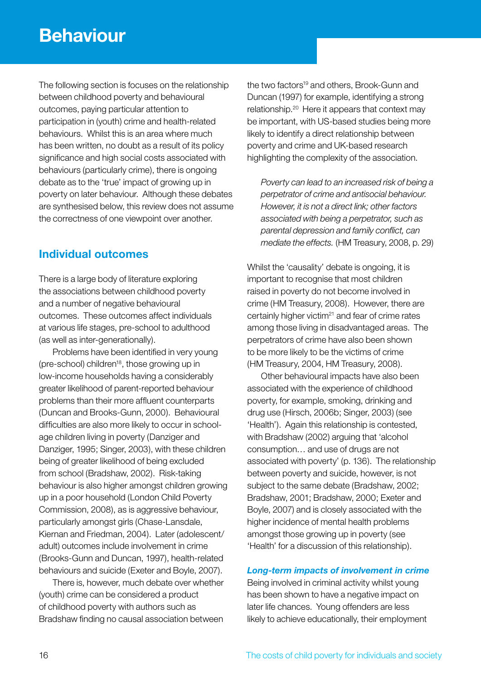The following section is focuses on the relationship between childhood poverty and behavioural outcomes, paying particular attention to participation in (youth) crime and health-related behaviours. Whilst this is an area where much has been written, no doubt as a result of its policy significance and high social costs associated with behaviours (particularly crime), there is ongoing debate as to the 'true' impact of growing up in poverty on later behaviour. Although these debates are synthesised below, this review does not assume the correctness of one viewpoint over another.

# **Individual outcomes**

There is a large body of literature exploring the associations between childhood poverty and a number of negative behavioural outcomes. These outcomes affect individuals at various life stages, pre-school to adulthood (as well as inter-generationally).

Problems have been identified in very young (pre-school) children18, those growing up in low-income households having a considerably greater likelihood of parent-reported behaviour problems than their more affluent counterparts (Duncan and Brooks-Gunn, 2000). Behavioural difficulties are also more likely to occur in schoolage children living in poverty (Danziger and Danziger, 1995; Singer, 2003), with these children being of greater likelihood of being excluded from school (Bradshaw, 2002). Risk-taking behaviour is also higher amongst children growing up in a poor household (London Child Poverty Commission, 2008), as is aggressive behaviour, particularly amongst girls (Chase-Lansdale, Kiernan and Friedman, 2004). Later (adolescent/ adult) outcomes include involvement in crime (Brooks-Gunn and Duncan, 1997), health-related behaviours and suicide (Exeter and Boyle, 2007).

There is, however, much debate over whether (youth) crime can be considered a product of childhood poverty with authors such as Bradshaw finding no causal association between the two factors<sup>19</sup> and others, Brook-Gunn and Duncan (1997) for example, identifying a strong relationship.20 Here it appears that context may be important, with US-based studies being more likely to identify a direct relationship between poverty and crime and UK-based research highlighting the complexity of the association.

*Poverty can lead to an increased risk of being a perpetrator of crime and antisocial behaviour. However, it is not a direct link; other factors associated with being a perpetrator, such as parental depression and family conflict, can mediate the effects.* (HM Treasury, 2008, p. 29)

Whilst the 'causality' debate is ongoing, it is important to recognise that most children raised in poverty do not become involved in crime (HM Treasury, 2008). However, there are certainly higher victim<sup>21</sup> and fear of crime rates among those living in disadvantaged areas. The perpetrators of crime have also been shown to be more likely to be the victims of crime (HM Treasury, 2004, HM Treasury, 2008).

Other behavioural impacts have also been associated with the experience of childhood poverty, for example, smoking, drinking and drug use (Hirsch, 2006b; Singer, 2003) (see 'Health'). Again this relationship is contested, with Bradshaw (2002) arguing that 'alcohol consumption… and use of drugs are not associated with poverty' (p. 136). The relationship between poverty and suicide, however, is not subject to the same debate (Bradshaw, 2002; Bradshaw, 2001; Bradshaw, 2000; Exeter and Boyle, 2007) and is closely associated with the higher incidence of mental health problems amongst those growing up in poverty (see 'Health' for a discussion of this relationship).

#### *Long-term impacts of involvement in crime*

Being involved in criminal activity whilst young has been shown to have a negative impact on later life chances. Young offenders are less likely to achieve educationally, their employment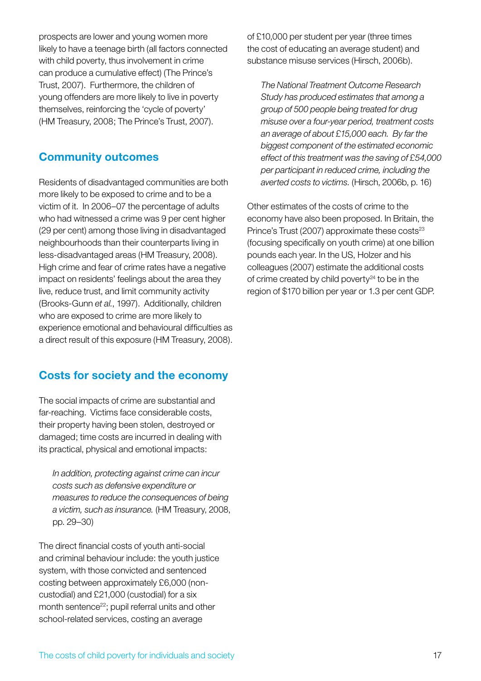prospects are lower and young women more likely to have a teenage birth (all factors connected with child poverty, thus involvement in crime can produce a cumulative effect) (The Prince's Trust, 2007). Furthermore, the children of young offenders are more likely to live in poverty themselves, reinforcing the 'cycle of poverty' (HM Treasury, 2008; The Prince's Trust, 2007).

### **Community outcomes**

Residents of disadvantaged communities are both more likely to be exposed to crime and to be a victim of it. In 2006–07 the percentage of adults who had witnessed a crime was 9 per cent higher (29 per cent) among those living in disadvantaged neighbourhoods than their counterparts living in less-disadvantaged areas (HM Treasury, 2008). High crime and fear of crime rates have a negative impact on residents' feelings about the area they live, reduce trust, and limit community activity (Brooks-Gunn *et al.*, 1997). Additionally, children who are exposed to crime are more likely to experience emotional and behavioural difficulties as a direct result of this exposure (HM Treasury, 2008).

# **Costs for society and the economy**

The social impacts of crime are substantial and far-reaching. Victims face considerable costs, their property having been stolen, destroyed or damaged; time costs are incurred in dealing with its practical, physical and emotional impacts:

*In addition, protecting against crime can incur costs such as defensive expenditure or measures to reduce the consequences of being a victim, such as insurance.* (HM Treasury, 2008, pp. 29–30)

The direct financial costs of youth anti-social and criminal behaviour include: the youth justice system, with those convicted and sentenced costing between approximately £6,000 (noncustodial) and £21,000 (custodial) for a six month sentence<sup>22</sup>; pupil referral units and other school-related services, costing an average

of £10,000 per student per year (three times the cost of educating an average student) and substance misuse services (Hirsch, 2006b).

*The National Treatment Outcome Research Study has produced estimates that among a group of 500 people being treated for drug misuse over a four-year period, treatment costs an average of about £15,000 each. By far the biggest component of the estimated economic effect of this treatment was the saving of £54,000 per participant in reduced crime, including the averted costs to victims.* (Hirsch, 2006b, p. 16)

Other estimates of the costs of crime to the economy have also been proposed. In Britain, the Prince's Trust (2007) approximate these  $costs<sup>23</sup>$ (focusing specifically on youth crime) at one billion pounds each year. In the US, Holzer and his colleagues (2007) estimate the additional costs of crime created by child poverty $24$  to be in the region of \$170 billion per year or 1.3 per cent GDP.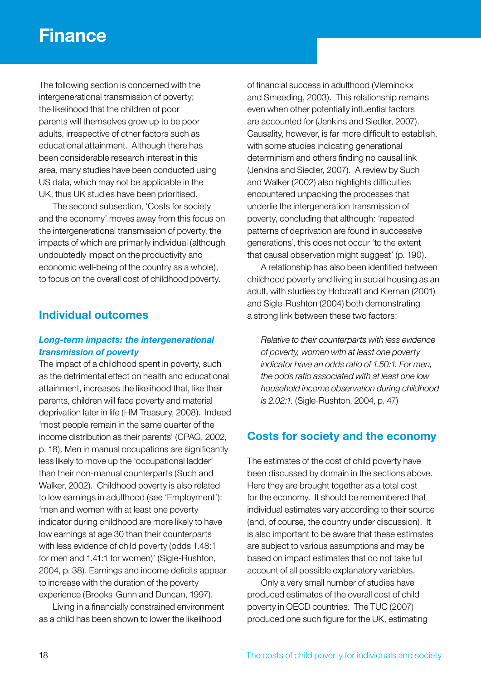# **Finance**

The following section is concerned with the intergenerational transmission of poverty; the likelihood that the children of poor parents will themselves grow up to be poor adults, irrespective of other factors such as educational attainment. Although there has been considerable research interest in this area, many studies have been conducted using US data, which may not be applicable in the UK, thus UK studies have been prioritised.

The second subsection, 'Costs for society and the economy' moves away from this focus on the intergenerational transmission of poverty, the impacts of which are primarily individual (although undoubtedly impact on the productivity and economic well-being of the country as a whole), to focus on the overall cost of childhood poverty.

### **Individual outcomes**

### *Long-term impacts: the intergenerational transmission of poverty*

The impact of a childhood spent in poverty, such as the detrimental effect on health and educational attainment, increases the likelihood that, like their parents, children will face poverty and material deprivation later in life (HM Treasury, 2008). Indeed 'most people remain in the same quarter of the income distribution as their parents' (CPAG, 2002, p. 18). Men in manual occupations are significantly less likely to move up the 'occupational ladder' than their non-manual counterparts (Such and Walker, 2002). Childhood poverty is also related to low earnings in adulthood (see 'Employment'): 'men and women with at least one poverty indicator during childhood are more likely to have low earnings at age 30 than their counterparts with less evidence of child poverty (odds 1.48:1 for men and 1.41:1 for women)' (Sigle-Rushton, 2004, p. 38). Earnings and income deficits appear to increase with the duration of the poverty experience (Brooks-Gunn and Duncan, 1997).

Living in a financially constrained environment as a child has been shown to lower the likelihood

of financial success in adulthood (Vleminckx and Smeeding, 2003). This relationship remains even when other potentially influential factors are accounted for (Jenkins and Siedler, 2007). Causality, however, is far more difficult to establish, with some studies indicating generational determinism and others finding no causal link (Jenkins and Siedler, 2007). A review by Such and Walker (2002) also highlights difficulties encountered unpacking the processes that underlie the intergeneration transmission of poverty, concluding that although: 'repeated patterns of deprivation are found in successive generations', this does not occur 'to the extent that causal observation might suggest' (p. 190).

A relationship has also been identified between childhood poverty and living in social housing as an adult, with studies by Hobcraft and Kiernan (2001) and Sigle-Rushton (2004) both demonstrating a strong link between these two factors:

*Relative to their counterparts with less evidence of poverty, women with at least one poverty indicator have an odds ratio of 1.50:1. For men, the odds ratio associated with at least one low household income observation during childhood is 2.02:1.* (Sigle-Rushton, 2004, p. 47)

# **Costs for society and the economy**

The estimates of the cost of child poverty have been discussed by domain in the sections above. Here they are brought together as a total cost for the economy. It should be remembered that individual estimates vary according to their source (and, of course, the country under discussion). It is also important to be aware that these estimates are subject to various assumptions and may be based on impact estimates that do not take full account of all possible explanatory variables.

Only a very small number of studies have produced estimates of the overall cost of child poverty in OECD countries. The TUC (2007) produced one such figure for the UK, estimating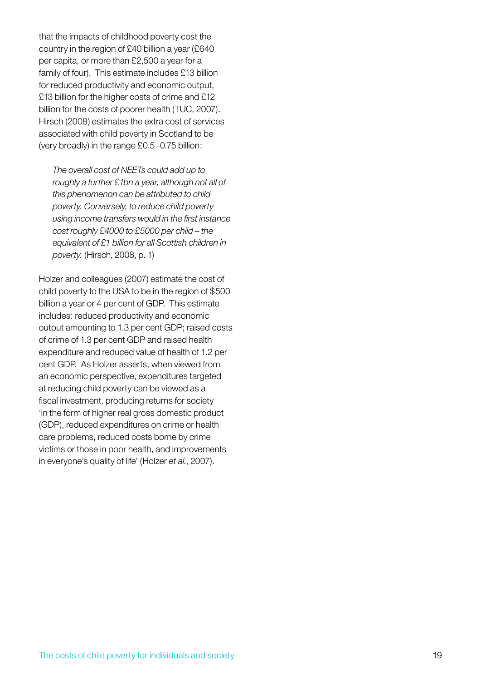that the impacts of childhood poverty cost the country in the region of £40 billion a year (£640 per capita, or more than £2,500 a year for a family of four). This estimate includes £13 billion for reduced productivity and economic output, £13 billion for the higher costs of crime and £12 billion for the costs of poorer health (TUC, 2007). Hirsch (2008) estimates the extra cost of services associated with child poverty in Scotland to be (very broadly) in the range £0.5–0.75 billion:

*The overall cost of NEETs could add up to roughly a further £1bn a year, although not all of this phenomenon can be attributed to child poverty. Conversely, to reduce child poverty using income transfers would in the first instance cost roughly £4000 to £5000 per child – the equivalent of £1 billion for all Scottish children in poverty.* (Hirsch, 2008, p. 1)

Holzer and colleagues (2007) estimate the cost of child poverty to the USA to be in the region of \$500 billion a year or 4 per cent of GDP. This estimate includes: reduced productivity and economic output amounting to 1.3 per cent GDP; raised costs of crime of 1.3 per cent GDP and raised health expenditure and reduced value of health of 1.2 per cent GDP. As Holzer asserts, when viewed from an economic perspective, expenditures targeted at reducing child poverty can be viewed as a fiscal investment, producing returns for society 'in the form of higher real gross domestic product (GDP), reduced expenditures on crime or health care problems, reduced costs borne by crime victims or those in poor health, and improvements in everyone's quality of life' (Holzer *et al.*, 2007).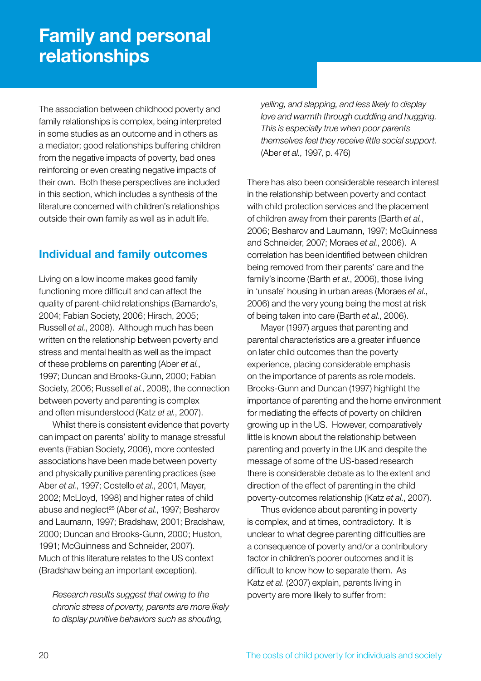# **Family and personal relationships**

The association between childhood poverty and family relationships is complex, being interpreted in some studies as an outcome and in others as a mediator; good relationships buffering children from the negative impacts of poverty, bad ones reinforcing or even creating negative impacts of their own. Both these perspectives are included in this section, which includes a synthesis of the literature concerned with children's relationships outside their own family as well as in adult life.

# **Individual and family outcomes**

Living on a low income makes good family functioning more difficult and can affect the quality of parent-child relationships (Barnardo's, 2004; Fabian Society, 2006; Hirsch, 2005; Russell *et al.*, 2008). Although much has been written on the relationship between poverty and stress and mental health as well as the impact of these problems on parenting (Aber *et al.*, 1997; Duncan and Brooks-Gunn, 2000; Fabian Society, 2006; Russell *et al.*, 2008), the connection between poverty and parenting is complex and often misunderstood (Katz *et al.*, 2007).

Whilst there is consistent evidence that poverty can impact on parents' ability to manage stressful events (Fabian Society, 2006), more contested associations have been made between poverty and physically punitive parenting practices (see Aber *et al.*, 1997; Costello *et al.*, 2001, Mayer, 2002; McLloyd, 1998) and higher rates of child abuse and neglect<sup>25</sup> (Aber et al., 1997; Besharov and Laumann, 1997; Bradshaw, 2001; Bradshaw, 2000; Duncan and Brooks-Gunn, 2000; Huston, 1991; McGuinness and Schneider, 2007). Much of this literature relates to the US context (Bradshaw being an important exception).

*Research results suggest that owing to the chronic stress of poverty, parents are more likely to display punitive behaviors such as shouting,* 

*yelling, and slapping, and less likely to display love and warmth through cuddling and hugging. This is especially true when poor parents themselves feel they receive little social support.* (Aber *et al.*, 1997, p. 476)

There has also been considerable research interest in the relationship between poverty and contact with child protection services and the placement of children away from their parents (Barth *et al.*, 2006; Besharov and Laumann, 1997; McGuinness and Schneider, 2007; Moraes *et al.*, 2006). A correlation has been identified between children being removed from their parents' care and the family's income (Barth *et al.*, 2006), those living in 'unsafe' housing in urban areas (Moraes *et al.*, 2006) and the very young being the most at risk of being taken into care (Barth *et al.*, 2006).

Mayer (1997) argues that parenting and parental characteristics are a greater influence on later child outcomes than the poverty experience, placing considerable emphasis on the importance of parents as role models. Brooks-Gunn and Duncan (1997) highlight the importance of parenting and the home environment for mediating the effects of poverty on children growing up in the US. However, comparatively little is known about the relationship between parenting and poverty in the UK and despite the message of some of the US-based research there is considerable debate as to the extent and direction of the effect of parenting in the child poverty-outcomes relationship (Katz *et al.*, 2007).

Thus evidence about parenting in poverty is complex, and at times, contradictory. It is unclear to what degree parenting difficulties are a consequence of poverty and/or a contributory factor in children's poorer outcomes and it is difficult to know how to separate them. As Katz *et al.* (2007) explain, parents living in poverty are more likely to suffer from: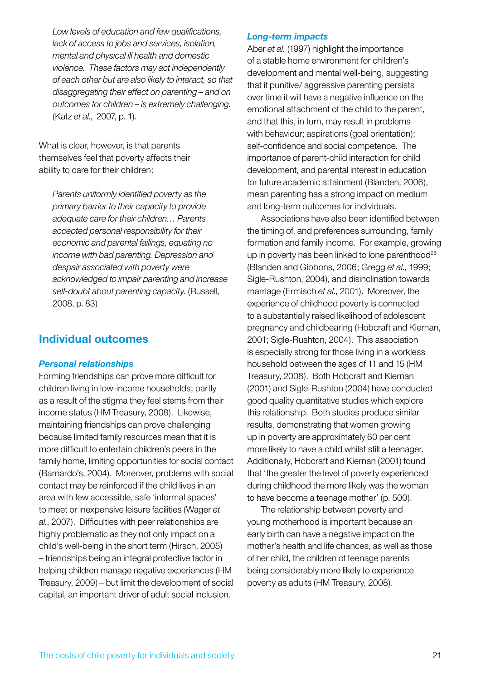*Low levels of education and few qualifications, lack of access to jobs and services, isolation, mental and physical ill health and domestic violence. These factors may act independently of each other but are also likely to interact, so that disaggregating their effect on parenting – and on outcomes for children – is extremely challenging.*  (Katz *et al.*, 2007, p. 1).

What is clear, however, is that parents themselves feel that poverty affects their ability to care for their children:

*Parents uniformly identified poverty as the primary barrier to their capacity to provide adequate care for their children… Parents accepted personal responsibility for their economic and parental failings, equating no income with bad parenting. Depression and despair associated with poverty were acknowledged to impair parenting and increase self-doubt about parenting capacity.* (Russell, 2008, p. 83)

### **Individual outcomes**

### *Personal relationships*

Forming friendships can prove more difficult for children living in low-income households; partly as a result of the stigma they feel stems from their income status (HM Treasury, 2008). Likewise, maintaining friendships can prove challenging because limited family resources mean that it is more difficult to entertain children's peers in the family home, limiting opportunities for social contact (Barnardo's, 2004). Moreover, problems with social contact may be reinforced if the child lives in an area with few accessible, safe 'informal spaces' to meet or inexpensive leisure facilities (Wager *et al.*, 2007). Difficulties with peer relationships are highly problematic as they not only impact on a child's well-being in the short term (Hirsch, 2005) – friendships being an integral protective factor in helping children manage negative experiences (HM Treasury, 2009) – but limit the development of social capital, an important driver of adult social inclusion.

#### *Long-term impacts*

Aber *et al.* (1997) highlight the importance of a stable home environment for children's development and mental well-being, suggesting that if punitive/ aggressive parenting persists over time it will have a negative influence on the emotional attachment of the child to the parent, and that this, in turn, may result in problems with behaviour; aspirations (goal orientation); self-confidence and social competence. The importance of parent-child interaction for child development, and parental interest in education for future academic attainment (Blanden, 2006), mean parenting has a strong impact on medium and long-term outcomes for individuals.

Associations have also been identified between the timing of, and preferences surrounding, family formation and family income. For example, growing up in poverty has been linked to lone parenthood<sup>26</sup> (Blanden and Gibbons, 2006; Gregg *et al.*, 1999; Sigle-Rushton, 2004), and disinclination towards marriage (Ermisch *et al.*, 2001). Moreover, the experience of childhood poverty is connected to a substantially raised likelihood of adolescent pregnancy and childbearing (Hobcraft and Kiernan, 2001; Sigle-Rushton, 2004). This association is especially strong for those living in a workless household between the ages of 11 and 15 (HM Treasury, 2008). Both Hobcraft and Kiernan (2001) and Sigle-Rushton (2004) have conducted good quality quantitative studies which explore this relationship. Both studies produce similar results, demonstrating that women growing up in poverty are approximately 60 per cent more likely to have a child whilst still a teenager. Additionally, Hobcraft and Kiernan (2001) found that 'the greater the level of poverty experienced during childhood the more likely was the woman to have become a teenage mother' (p. 500).

The relationship between poverty and young motherhood is important because an early birth can have a negative impact on the mother's health and life chances, as well as those of her child, the children of teenage parents being considerably more likely to experience poverty as adults (HM Treasury, 2008).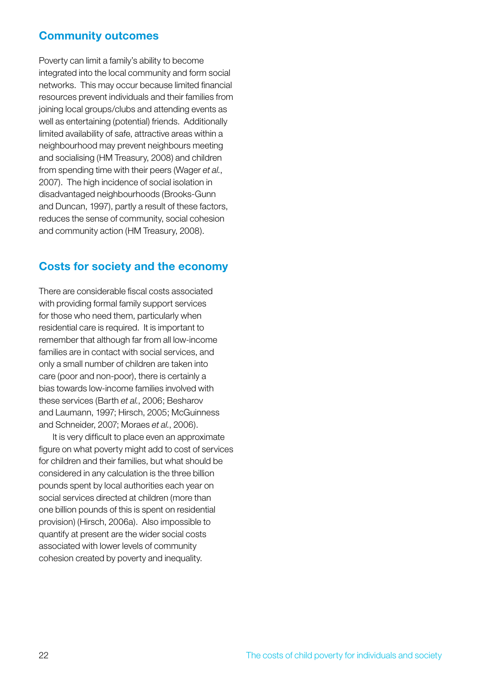### **Community outcomes**

Poverty can limit a family's ability to become integrated into the local community and form social networks. This may occur because limited financial resources prevent individuals and their families from joining local groups/clubs and attending events as well as entertaining (potential) friends. Additionally limited availability of safe, attractive areas within a neighbourhood may prevent neighbours meeting and socialising (HM Treasury, 2008) and children from spending time with their peers (Wager *et al.*, 2007). The high incidence of social isolation in disadvantaged neighbourhoods (Brooks-Gunn and Duncan, 1997), partly a result of these factors, reduces the sense of community, social cohesion and community action (HM Treasury, 2008).

### **Costs for society and the economy**

There are considerable fiscal costs associated with providing formal family support services for those who need them, particularly when residential care is required. It is important to remember that although far from all low-income families are in contact with social services, and only a small number of children are taken into care (poor and non-poor), there is certainly a bias towards low-income families involved with these services (Barth *et al.*, 2006; Besharov and Laumann, 1997; Hirsch, 2005; McGuinness and Schneider, 2007; Moraes *et al.*, 2006).

It is very difficult to place even an approximate figure on what poverty might add to cost of services for children and their families, but what should be considered in any calculation is the three billion pounds spent by local authorities each year on social services directed at children (more than one billion pounds of this is spent on residential provision) (Hirsch, 2006a). Also impossible to quantify at present are the wider social costs associated with lower levels of community cohesion created by poverty and inequality.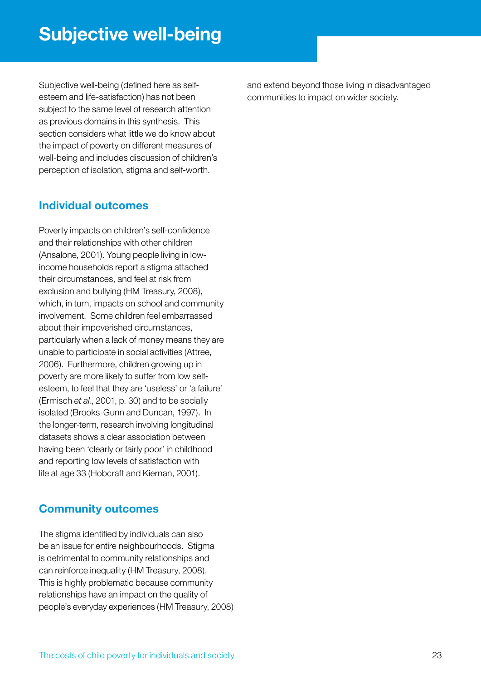Subjective well-being (defined here as selfesteem and life-satisfaction) has not been subject to the same level of research attention as previous domains in this synthesis. This section considers what little we do know about the impact of poverty on different measures of well-being and includes discussion of children's perception of isolation, stigma and self-worth.

# **Individual outcomes**

Poverty impacts on children's self-confidence and their relationships with other children (Ansalone, 2001). Young people living in lowincome households report a stigma attached their circumstances, and feel at risk from exclusion and bullying (HM Treasury, 2008), which, in turn, impacts on school and community involvement. Some children feel embarrassed about their impoverished circumstances, particularly when a lack of money means they are unable to participate in social activities (Attree, 2006). Furthermore, children growing up in poverty are more likely to suffer from low selfesteem, to feel that they are 'useless' or 'a failure' (Ermisch *et al.*, 2001, p. 30) and to be socially isolated (Brooks-Gunn and Duncan, 1997). In the longer-term, research involving longitudinal datasets shows a clear association between having been 'clearly or fairly poor' in childhood and reporting low levels of satisfaction with life at age 33 (Hobcraft and Kiernan, 2001).

# **Community outcomes**

The stigma identified by individuals can also be an issue for entire neighbourhoods. Stigma is detrimental to community relationships and can reinforce inequality (HM Treasury, 2008). This is highly problematic because community relationships have an impact on the quality of people's everyday experiences (HM Treasury, 2008) and extend beyond those living in disadvantaged communities to impact on wider society.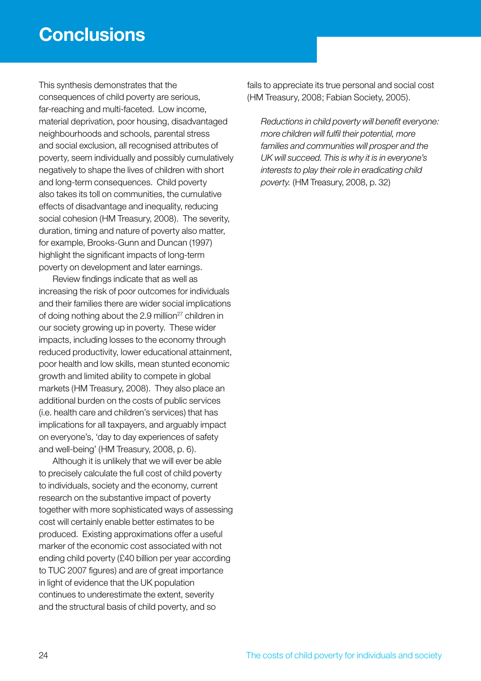This synthesis demonstrates that the consequences of child poverty are serious, far-reaching and multi-faceted. Low income, material deprivation, poor housing, disadvantaged neighbourhoods and schools, parental stress and social exclusion, all recognised attributes of poverty, seem individually and possibly cumulatively negatively to shape the lives of children with short and long-term consequences. Child poverty also takes its toll on communities, the cumulative effects of disadvantage and inequality, reducing social cohesion (HM Treasury, 2008). The severity, duration, timing and nature of poverty also matter, for example, Brooks-Gunn and Duncan (1997) highlight the significant impacts of long-term poverty on development and later earnings.

Review findings indicate that as well as increasing the risk of poor outcomes for individuals and their families there are wider social implications of doing nothing about the 2.9 million<sup>27</sup> children in our society growing up in poverty. These wider impacts, including losses to the economy through reduced productivity, lower educational attainment, poor health and low skills, mean stunted economic growth and limited ability to compete in global markets (HM Treasury, 2008). They also place an additional burden on the costs of public services (i.e. health care and children's services) that has implications for all taxpayers, and arguably impact on everyone's, 'day to day experiences of safety and well-being' (HM Treasury, 2008, p. 6).

Although it is unlikely that we will ever be able to precisely calculate the full cost of child poverty to individuals, society and the economy, current research on the substantive impact of poverty together with more sophisticated ways of assessing cost will certainly enable better estimates to be produced. Existing approximations offer a useful marker of the economic cost associated with not ending child poverty (£40 billion per year according to TUC 2007 figures) and are of great importance in light of evidence that the UK population continues to underestimate the extent, severity and the structural basis of child poverty, and so

fails to appreciate its true personal and social cost (HM Treasury, 2008; Fabian Society, 2005).

*Reductions in child poverty will benefit everyone: more children will fulfil their potential, more families and communities will prosper and the UK will succeed. This is why it is in everyone's interests to play their role in eradicating child poverty.* (HM Treasury, 2008, p. 32)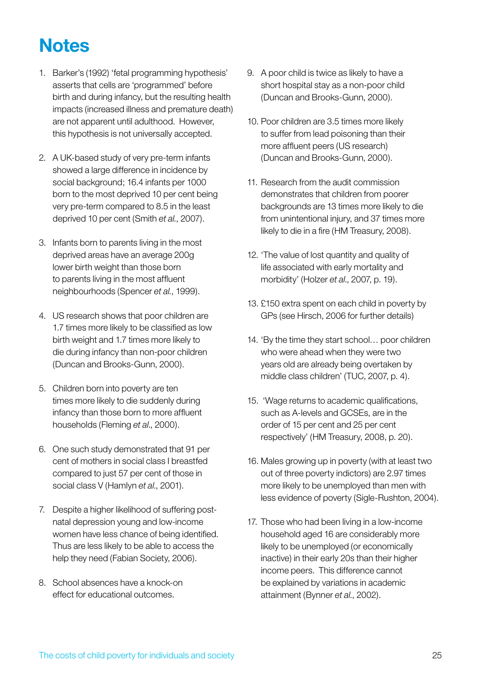# **Notes**

- 1. Barker's (1992) 'fetal programming hypothesis' asserts that cells are 'programmed' before birth and during infancy, but the resulting health impacts (increased illness and premature death) are not apparent until adulthood. However, this hypothesis is not universally accepted.
- 2. A UK-based study of very pre-term infants showed a large difference in incidence by social background; 16.4 infants per 1000 born to the most deprived 10 per cent being very pre-term compared to 8.5 in the least deprived 10 per cent (Smith *et al.*, 2007).
- 3. Infants born to parents living in the most deprived areas have an average 200g lower birth weight than those born to parents living in the most affluent neighbourhoods (Spencer *et al.*, 1999).
- 4. US research shows that poor children are 1.7 times more likely to be classified as low birth weight and 1.7 times more likely to die during infancy than non-poor children (Duncan and Brooks-Gunn, 2000).
- 5. Children born into poverty are ten times more likely to die suddenly during infancy than those born to more affluent households (Fleming *et al*., 2000).
- 6. One such study demonstrated that 91 per cent of mothers in social class I breastfed compared to just 57 per cent of those in social class V (Hamlyn *et al*., 2001).
- 7. Despite a higher likelihood of suffering postnatal depression young and low-income women have less chance of being identified. Thus are less likely to be able to access the help they need (Fabian Society, 2006).
- 8. School absences have a knock-on effect for educational outcomes.
- 9. A poor child is twice as likely to have a short hospital stay as a non-poor child (Duncan and Brooks-Gunn, 2000).
- 10. Poor children are 3.5 times more likely to suffer from lead poisoning than their more affluent peers (US research) (Duncan and Brooks-Gunn, 2000).
- 11. Research from the audit commission demonstrates that children from poorer backgrounds are 13 times more likely to die from unintentional injury, and 37 times more likely to die in a fire (HM Treasury, 2008).
- 12. 'The value of lost quantity and quality of life associated with early mortality and morbidity' (Holzer *et al*., 2007, p. 19).
- 13. £150 extra spent on each child in poverty by GPs (see Hirsch, 2006 for further details)
- 14. 'By the time they start school... poor children who were ahead when they were two years old are already being overtaken by middle class children' (TUC, 2007, p. 4).
- 15. 'Wage returns to academic qualifications, such as A-levels and GCSEs, are in the order of 15 per cent and 25 per cent respectively' (HM Treasury, 2008, p. 20).
- 16. Males growing up in poverty (with at least two out of three poverty indictors) are 2.97 times more likely to be unemployed than men with less evidence of poverty (Sigle-Rushton, 2004).
- 17. Those who had been living in a low-income household aged 16 are considerably more likely to be unemployed (or economically inactive) in their early 20s than their higher income peers. This difference cannot be explained by variations in academic attainment (Bynner *et al.*, 2002).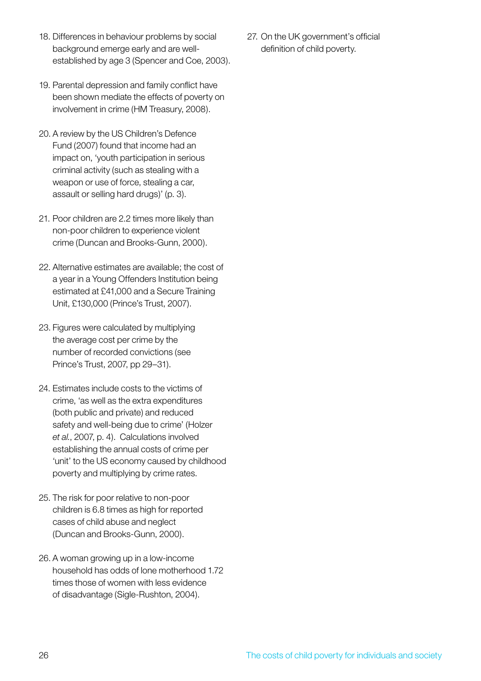- 18. Differences in behaviour problems by social background emerge early and are wellestablished by age 3 (Spencer and Coe, 2003).
- 19. Parental depression and family conflict have been shown mediate the effects of poverty on involvement in crime (HM Treasury, 2008).
- 20. A review by the US Children's Defence Fund (2007) found that income had an impact on, 'youth participation in serious criminal activity (such as stealing with a weapon or use of force, stealing a car, assault or selling hard drugs)' (p. 3).
- 21. Poor children are 2.2 times more likely than non-poor children to experience violent crime (Duncan and Brooks-Gunn, 2000).
- 22. Alternative estimates are available; the cost of a year in a Young Offenders Institution being estimated at £41,000 and a Secure Training Unit, £130,000 (Prince's Trust, 2007).
- 23. Figures were calculated by multiplying the average cost per crime by the number of recorded convictions (see Prince's Trust, 2007, pp 29–31).
- 24. Estimates include costs to the victims of crime, 'as well as the extra expenditures (both public and private) and reduced safety and well-being due to crime' (Holzer *et al.*, 2007, p. 4). Calculations involved establishing the annual costs of crime per 'unit' to the US economy caused by childhood poverty and multiplying by crime rates.
- 25. The risk for poor relative to non-poor children is 6.8 times as high for reported cases of child abuse and neglect (Duncan and Brooks-Gunn, 2000).
- 26. A woman growing up in a low-income household has odds of lone motherhood 1.72 times those of women with less evidence of disadvantage (Sigle-Rushton, 2004).

27. On the UK government's official definition of child poverty.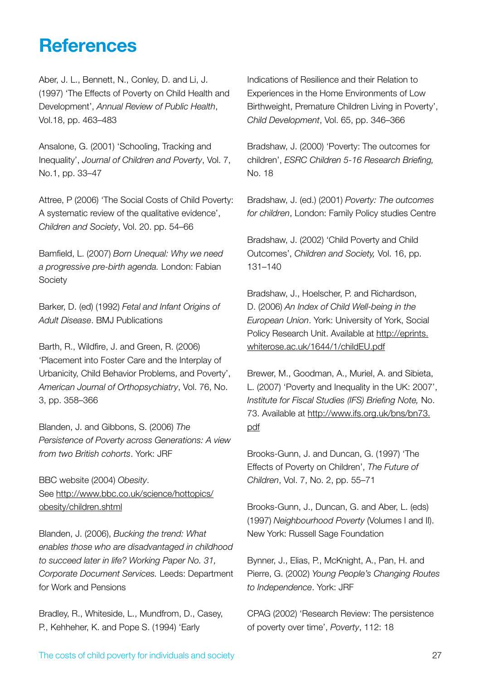# **References**

Aber, J. L., Bennett, N., Conley, D. and Li, J. (1997) 'The Effects of Poverty on Child Health and Development', *Annual Review of Public Health*, Vol.18, pp. 463–483

Ansalone, G. (2001) 'Schooling, Tracking and Inequality', *Journal of Children and Poverty*, Vol. 7, No.1, pp. 33–47

Attree, P (2006) 'The Social Costs of Child Poverty: A systematic review of the qualitative evidence', *Children and Society*, Vol. 20. pp. 54–66

Bamfield, L. (2007) *Born Unequal: Why we need a progressive pre-birth agenda.* London: Fabian **Society** 

Barker, D. (ed) (1992) *Fetal and Infant Origins of Adult Disease*. BMJ Publications

Barth, R., Wildfire, J. and Green, R. (2006) 'Placement into Foster Care and the Interplay of Urbanicity, Child Behavior Problems, and Poverty', *American Journal of Orthopsychiatry*, Vol. 76, No. 3, pp. 358–366

Blanden, J. and Gibbons, S. (2006) *The Persistence of Poverty across Generations: A view from two British cohorts*. York: JRF

BBC website (2004) *Obesity*. See http://www.bbc.co.uk/science/hottopics/ obesity/children.shtml

Blanden, J. (2006), *Bucking the trend: What enables those who are disadvantaged in childhood to succeed later in life? Working Paper No. 31, Corporate Document Services.* Leeds: Department for Work and Pensions

Bradley, R., Whiteside, L., Mundfrom, D., Casey, P., Kehheher, K. and Pope S. (1994) 'Early

Indications of Resilience and their Relation to Experiences in the Home Environments of Low Birthweight, Premature Children Living in Poverty', *Child Development*, Vol. 65, pp. 346–366

Bradshaw, J. (2000) 'Poverty: The outcomes for children', *ESRC Children 5-16 Research Briefing,*  No. 18

Bradshaw, J. (ed.) (2001) *Poverty: The outcomes for children*, London: Family Policy studies Centre

Bradshaw, J. (2002) 'Child Poverty and Child Outcomes', *Children and Society,* Vol. 16, pp. 131–140

Bradshaw, J., Hoelscher, P. and Richardson, D. (2006) *An Index of Child Well-being in the European Union*. York: University of York, Social Policy Research Unit. Available at http://eprints. whiterose.ac.uk/1644/1/childEU.pdf

Brewer, M., Goodman, A., Muriel, A. and Sibieta, L. (2007) 'Poverty and Inequality in the UK: 2007', *Institute for Fiscal Studies (IFS) Briefing Note,* No. 73. Available at http://www.ifs.org.uk/bns/bn73. pdf

Brooks-Gunn, J. and Duncan, G. (1997) 'The Effects of Poverty on Children', *The Future of Children*, Vol. 7, No. 2, pp. 55–71

Brooks-Gunn, J., Duncan, G. and Aber, L. (eds) (1997) *Neighbourhood Poverty* (Volumes I and II). New York: Russell Sage Foundation

Bynner, J., Elias, P., McKnight, A., Pan, H. and Pierre, G. (2002) *Young People's Changing Routes to Independence*. York: JRF

CPAG (2002) 'Research Review: The persistence of poverty over time', *Poverty*, 112: 18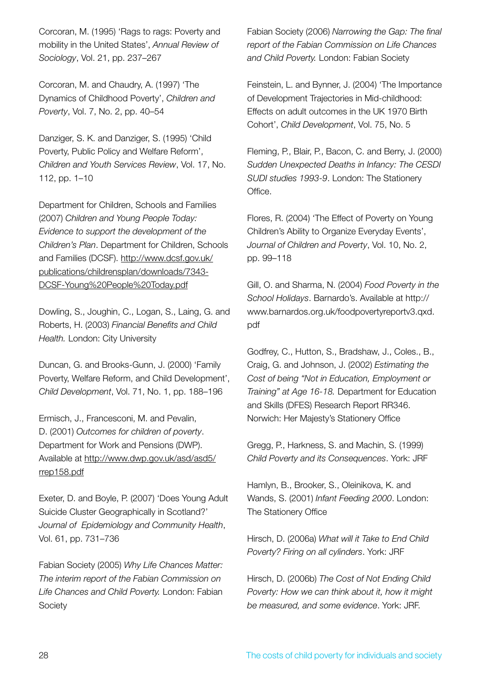Corcoran, M. (1995) 'Rags to rags: Poverty and mobility in the United States', *Annual Review of Sociology*, Vol. 21, pp. 237–267

Corcoran, M. and Chaudry, A. (1997) 'The Dynamics of Childhood Poverty', *Children and Poverty*, Vol. 7, No. 2, pp. 40–54

Danziger, S. K. and Danziger, S. (1995) 'Child Poverty, Public Policy and Welfare Reform', *Children and Youth Services Review*, Vol. 17, No. 112, pp. 1–10

Department for Children, Schools and Families (2007) *Children and Young People Today: Evidence to support the development of the Children's Plan*. Department for Children, Schools and Families (DCSF). http://www.dcsf.gov.uk/ publications/childrensplan/downloads/7343- DCSF-Young%20People%20Today.pdf

Dowling, S., Joughin, C., Logan, S., Laing, G. and Roberts, H. (2003) *Financial Benefits and Child Health.* London: City University

Duncan, G. and Brooks-Gunn, J. (2000) 'Family Poverty, Welfare Reform, and Child Development', *Child Development*, Vol. 71, No. 1, pp. 188–196

Ermisch, J., Francesconi, M. and Pevalin, D. (2001) *Outcomes for children of poverty*. Department for Work and Pensions (DWP). Available at http://www.dwp.gov.uk/asd/asd5/ rrep158.pdf

Exeter, D. and Boyle, P. (2007) 'Does Young Adult Suicide Cluster Geographically in Scotland?' *Journal of Epidemiology and Community Health*, Vol. 61, pp. 731–736

Fabian Society (2005) *Why Life Chances Matter: The interim report of the Fabian Commission on Life Chances and Child Poverty.* London: Fabian Society

Fabian Society (2006) *Narrowing the Gap: The final report of the Fabian Commission on Life Chances and Child Poverty.* London: Fabian Society

Feinstein, L. and Bynner, J. (2004) 'The Importance of Development Trajectories in Mid-childhood: Effects on adult outcomes in the UK 1970 Birth Cohort', *Child Development*, Vol. 75, No. 5

Fleming, P., Blair, P., Bacon, C. and Berry, J. (2000) *Sudden Unexpected Deaths in Infancy: The CESDI SUDI studies 1993-9*. London: The Stationery Office.

Flores, R. (2004) 'The Effect of Poverty on Young Children's Ability to Organize Everyday Events', *Journal of Children and Poverty*, Vol. 10, No. 2, pp. 99–118

Gill, O. and Sharma, N. (2004) *Food Poverty in the School Holidays*. Barnardo's. Available at http:// www.barnardos.org.uk/foodpovertyreportv3.qxd. pdf

Godfrey, C., Hutton, S., Bradshaw, J., Coles., B., Craig, G. and Johnson, J. (2002) *Estimating the Cost of being "Not in Education, Employment or Training" at Age 16-18.* Department for Education and Skills (DFES) Research Report RR346. Norwich: Her Majesty's Stationery Office

Gregg, P., Harkness, S. and Machin, S. (1999) *Child Poverty and its Consequences*. York: JRF

Hamlyn, B., Brooker, S., Oleinikova, K. and Wands, S. (2001) *Infant Feeding 2000*. London: The Stationery Office

Hirsch, D. (2006a) *What will it Take to End Child Poverty? Firing on all cylinders*. York: JRF

Hirsch, D. (2006b) *The Cost of Not Ending Child Poverty: How we can think about it, how it might be measured, and some evidence*. York: JRF.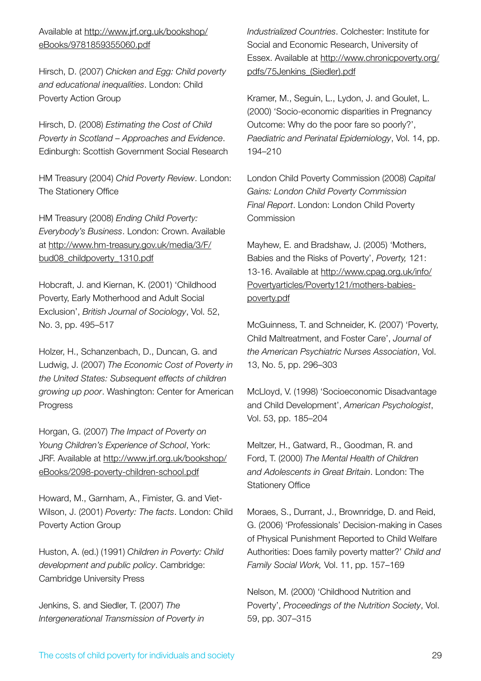Available at http://www.jrf.org.uk/bookshop/ eBooks/9781859355060.pdf

Hirsch, D. (2007) *Chicken and Egg: Child poverty and educational inequalities*. London: Child Poverty Action Group

Hirsch, D. (2008) *Estimating the Cost of Child Poverty in Scotland – Approaches and Evidence*. Edinburgh: Scottish Government Social Research

HM Treasury (2004) *Chid Poverty Review*. London: The Stationery Office

HM Treasury (2008) *Ending Child Poverty: Everybody's Business*. London: Crown. Available at http://www.hm-treasury.gov.uk/media/3/F/ bud08\_childpoverty\_1310.pdf

Hobcraft, J. and Kiernan, K. (2001) 'Childhood Poverty, Early Motherhood and Adult Social Exclusion', *British Journal of Sociology*, Vol. 52, No. 3, pp. 495–517

Holzer, H., Schanzenbach, D., Duncan, G. and Ludwig, J. (2007) *The Economic Cost of Poverty in the United States: Subsequent effects of children growing up poor*. Washington: Center for American Progress

Horgan, G. (2007) *The Impact of Poverty on Young Children's Experience of School*, York: JRF. Available at http://www.jrf.org.uk/bookshop/ eBooks/2098-poverty-children-school.pdf

Howard, M., Garnham, A., Fimister, G. and Viet-Wilson, J. (2001) *Poverty: The facts*. London: Child Poverty Action Group

Huston, A. (ed.) (1991) *Children in Poverty: Child development and public policy*. Cambridge: Cambridge University Press

Jenkins, S. and Siedler, T. (2007) *The Intergenerational Transmission of Poverty in*  *Industrialized Countries*. Colchester: Institute for Social and Economic Research, University of Essex. Available at http://www.chronicpoverty.org/ pdfs/75Jenkins\_(Siedler).pdf

Kramer, M., Seguin, L., Lydon, J. and Goulet, L. (2000) 'Socio-economic disparities in Pregnancy Outcome: Why do the poor fare so poorly?', *Paediatric and Perinatal Epidemiology*, Vol. 14, pp. 194–210

London Child Poverty Commission (2008) *Capital Gains: London Child Poverty Commission Final Report*. London: London Child Poverty Commission

Mayhew, E. and Bradshaw, J. (2005) 'Mothers, Babies and the Risks of Poverty', *Poverty,* 121: 13-16. Available at http://www.cpag.org.uk/info/ Povertyarticles/Poverty121/mothers-babiespoverty.pdf

McGuinness, T. and Schneider, K. (2007) 'Poverty, Child Maltreatment, and Foster Care', *Journal of the American Psychiatric Nurses Association*, Vol. 13, No. 5, pp. 296–303

McLloyd, V. (1998) 'Socioeconomic Disadvantage and Child Development', *American Psychologist*, Vol. 53, pp. 185–204

Meltzer, H., Gatward, R., Goodman, R. and Ford, T. (2000) *The Mental Health of Children and Adolescents in Great Britain*. London: The Stationery Office

Moraes, S., Durrant, J., Brownridge, D. and Reid, G. (2006) 'Professionals' Decision-making in Cases of Physical Punishment Reported to Child Welfare Authorities: Does family poverty matter?' *Child and Family Social Work,* Vol. 11, pp. 157–169

Nelson, M. (2000) 'Childhood Nutrition and Poverty', *Proceedings of the Nutrition Society*, Vol. 59, pp. 307–315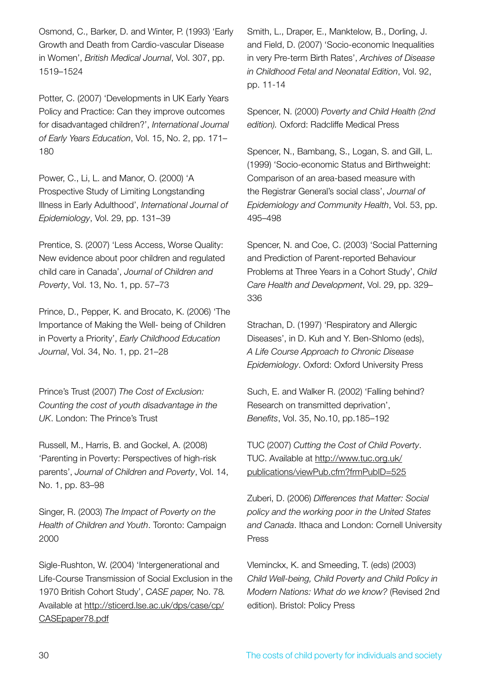Osmond, C., Barker, D. and Winter, P. (1993) 'Early Growth and Death from Cardio-vascular Disease in Women', *British Medical Journal*, Vol. 307, pp. 1519–1524

Potter, C. (2007) 'Developments in UK Early Years Policy and Practice: Can they improve outcomes for disadvantaged children?', *International Journal of Early Years Education*, Vol. 15, No. 2, pp. 171– 180

Power, C., Li, L. and Manor, O. (2000) 'A Prospective Study of Limiting Longstanding Illness in Early Adulthood', *International Journal of Epidemiology*, Vol. 29, pp. 131–39

Prentice, S. (2007) 'Less Access, Worse Quality: New evidence about poor children and regulated child care in Canada', *Journal of Children and Poverty*, Vol. 13, No. 1, pp. 57–73

Prince, D., Pepper, K. and Brocato, K. (2006) 'The Importance of Making the Well- being of Children in Poverty a Priority', *Early Childhood Education Journal*, Vol. 34, No. 1, pp. 21–28

Prince's Trust (2007) *The Cost of Exclusion: Counting the cost of youth disadvantage in the UK*. London: The Prince's Trust

Russell, M., Harris, B. and Gockel, A. (2008) 'Parenting in Poverty: Perspectives of high-risk parents', *Journal of Children and Poverty*, Vol. 14, No. 1, pp. 83–98

Singer, R. (2003) *The Impact of Poverty on the Health of Children and Youth*. Toronto: Campaign 2000

Sigle-Rushton, W. (2004) 'Intergenerational and Life-Course Transmission of Social Exclusion in the 1970 British Cohort Study', *CASE paper,* No. 78*.*  Available at http://sticerd.lse.ac.uk/dps/case/cp/ CASEpaper78.pdf

Smith, L., Draper, E., Manktelow, B., Dorling, J. and Field, D. (2007) 'Socio-economic Inequalities in very Pre-term Birth Rates', *Archives of Disease in Childhood Fetal and Neonatal Edition*, Vol. 92, pp. 11-14

Spencer, N. (2000) *Poverty and Child Health (2nd edition).* Oxford: Radcliffe Medical Press

Spencer, N., Bambang, S., Logan, S. and Gill, L. (1999) 'Socio-economic Status and Birthweight: Comparison of an area-based measure with the Registrar General's social class', *Journal of Epidemiology and Community Health*, Vol. 53, pp. 495–498

Spencer, N. and Coe, C. (2003) 'Social Patterning and Prediction of Parent-reported Behaviour Problems at Three Years in a Cohort Study', *Child Care Health and Development*, Vol. 29, pp. 329– 336

Strachan, D. (1997) 'Respiratory and Allergic Diseases', in D. Kuh and Y. Ben-Shlomo (eds), *A Life Course Approach to Chronic Disease Epidemiology*. Oxford: Oxford University Press

Such, E. and Walker R. (2002) 'Falling behind? Research on transmitted deprivation', *Benefits*, Vol. 35, No.10, pp.185–192

TUC (2007) *Cutting the Cost of Child Poverty*. TUC. Available at http://www.tuc.org.uk/ publications/viewPub.cfm?frmPubID=525

Zuberi, D. (2006) *Differences that Matter: Social policy and the working poor in the United States and Canada*. Ithaca and London: Cornell University Press

Vleminckx, K. and Smeeding, T. (eds) (2003) *Child Well-being, Child Poverty and Child Policy in Modern Nations: What do we know?* (Revised 2nd edition). Bristol: Policy Press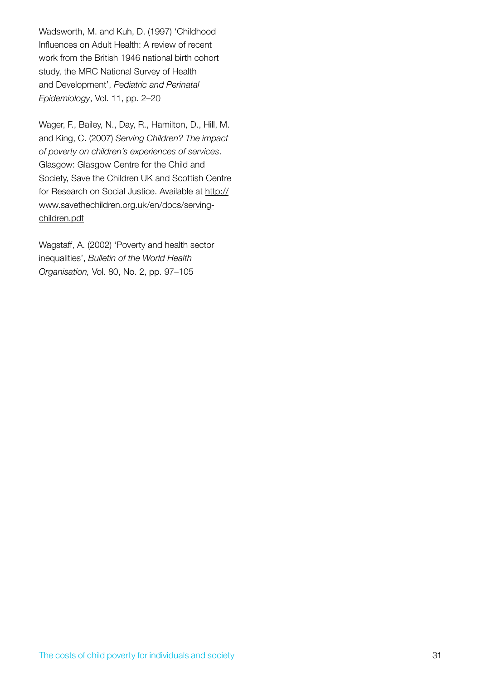Wadsworth, M. and Kuh, D. (1997) 'Childhood Influences on Adult Health: A review of recent work from the British 1946 national birth cohort study, the MRC National Survey of Health and Development', *Pediatric and Perinatal Epidemiology*, Vol. 11, pp. 2–20

Wager, F., Bailey, N., Day, R., Hamilton, D., Hill, M. and King, C. (2007) *Serving Children? The impact of poverty on children's experiences of services*. Glasgow: Glasgow Centre for the Child and Society, Save the Children UK and Scottish Centre for Research on Social Justice. Available at http:// www.savethechildren.org.uk/en/docs/servingchildren.pdf

Wagstaff, A. (2002) 'Poverty and health sector inequalities', *Bulletin of the World Health Organisation,* Vol. 80, No. 2, pp. 97–105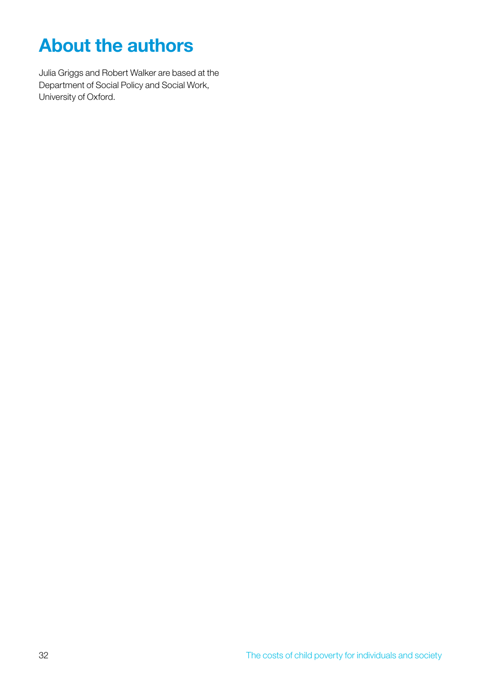# **About the authors**

Julia Griggs and Robert Walker are based at the Department of Social Policy and Social Work, University of Oxford.